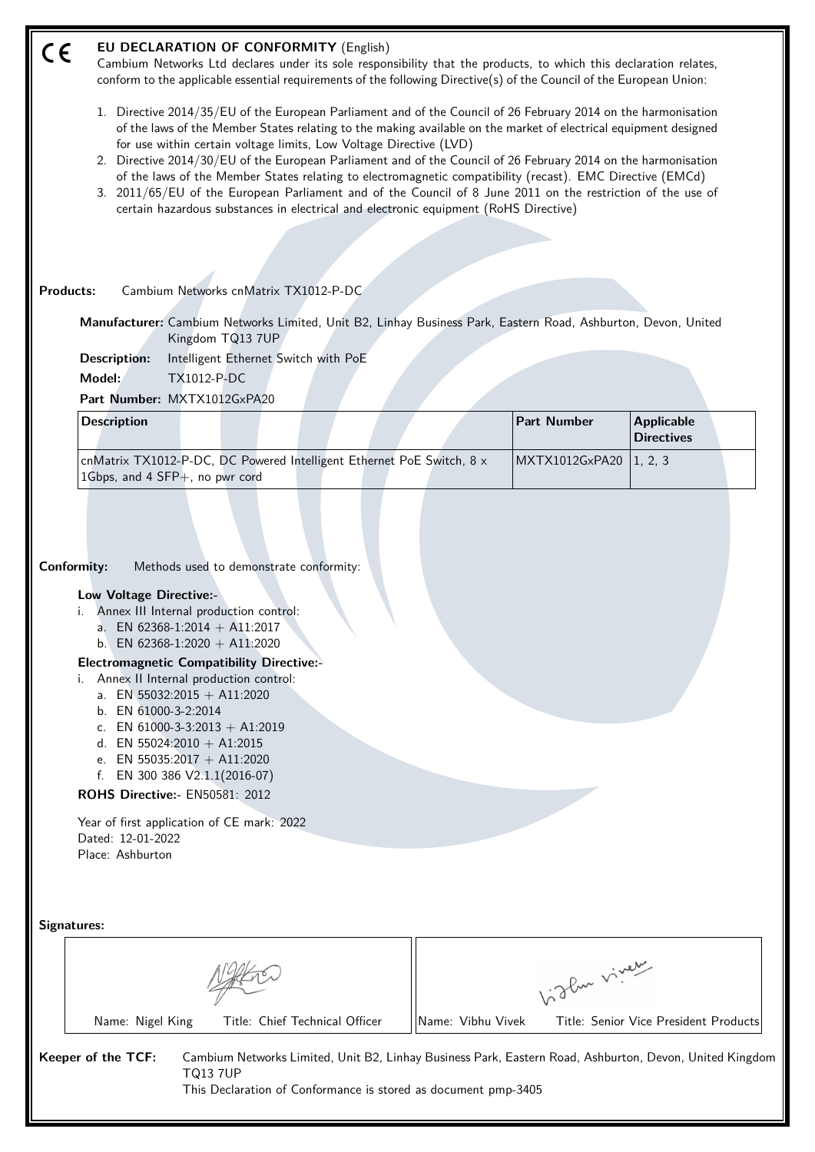#### **EU DECLARATION OF CONFORMITY** (English)  $\epsilon$

Cambium Networks Ltd declares under its sole responsibility that the products, to which this declaration relates, conform to the applicable essential requirements of the following Directive(s) of the Council of the European Union:

- 1. Directive 2014/35/EU of the European Parliament and of the Council of 26 February 2014 on the harmonisation of the laws of the Member States relating to the making available on the market of electrical equipment designed for use within certain voltage limits, Low Voltage Directive (LVD)
- 2. Directive 2014/30/EU of the European Parliament and of the Council of 26 February 2014 on the harmonisation of the laws of the Member States relating to electromagnetic compatibility (recast). EMC Directive (EMCd)
- 3. 2011/65/EU of the European Parliament and of the Council of 8 June 2011 on the restriction of the use of certain hazardous substances in electrical and electronic equipment (RoHS Directive)

#### **Products:** Cambium Networks cnMatrix TX1012-P-DC

**Manufacturer:** Cambium Networks Limited, Unit B2, Linhay Business Park, Eastern Road, Ashburton, Devon, United Kingdom TQ13 7UP

**Description:** Intelligent Ethernet Switch with PoE

**Model:** TX1012-P-DC

**Part Number:** MXTX1012GxPA20

| <b>Description</b>                                                                                                             |  | <b>Part Number</b>       | <b>Applicable</b><br>Directives |  |
|--------------------------------------------------------------------------------------------------------------------------------|--|--------------------------|---------------------------------|--|
| $\alpha$ cnMatrix TX1012-P-DC, DC Powered Intelligent Ethernet PoE Switch, 8 $\times$<br>$1Gbps$ , and 4 SFP $+$ , no pwr cord |  | MXTX1012GxPA20   1, 2, 3 |                                 |  |

**Conformity:** Methods used to demonstrate conformity:

#### **Low Voltage Directive:-**

- i. Annex III Internal production control:
	- a. EN 62368-1:2014 + A11:2017
	- b. EN 62368-1:2020 + A11:2020

#### **Electromagnetic Compatibility Directive:-**

- i. Annex II Internal production control:
	- a. EN 55032:2015 + A11:2020
	- b. EN 61000-3-2:2014
	- c. EN  $61000 3 3:2013 + A1:2019$
	- d. EN 55024:2010 + A1:2015
	- e. EN 55035:2017 + A11:2020
	- f. EN 300 386 V2.1.1(2016-07)

## **ROHS Directive:-** EN50581: 2012

Year of first application of CE mark: 2022 Dated: 12-01-2022 Place: Ashburton

TQ13 7UP

|                                                    | oflue viver                                                                                             |  |  |  |
|----------------------------------------------------|---------------------------------------------------------------------------------------------------------|--|--|--|
| Title: Chief Technical Officer<br>Name: Nigel King | Name: Vibhu Vivek<br>Title: Senior Vice President Products                                              |  |  |  |
| Keeper of the TCF:                                 | Cambium Networks Limited, Unit B2, Linhay Business Park, Eastern Road, Ashburton, Devon, United Kingdom |  |  |  |

This Declaration of Conformance is stored as document pmp-3405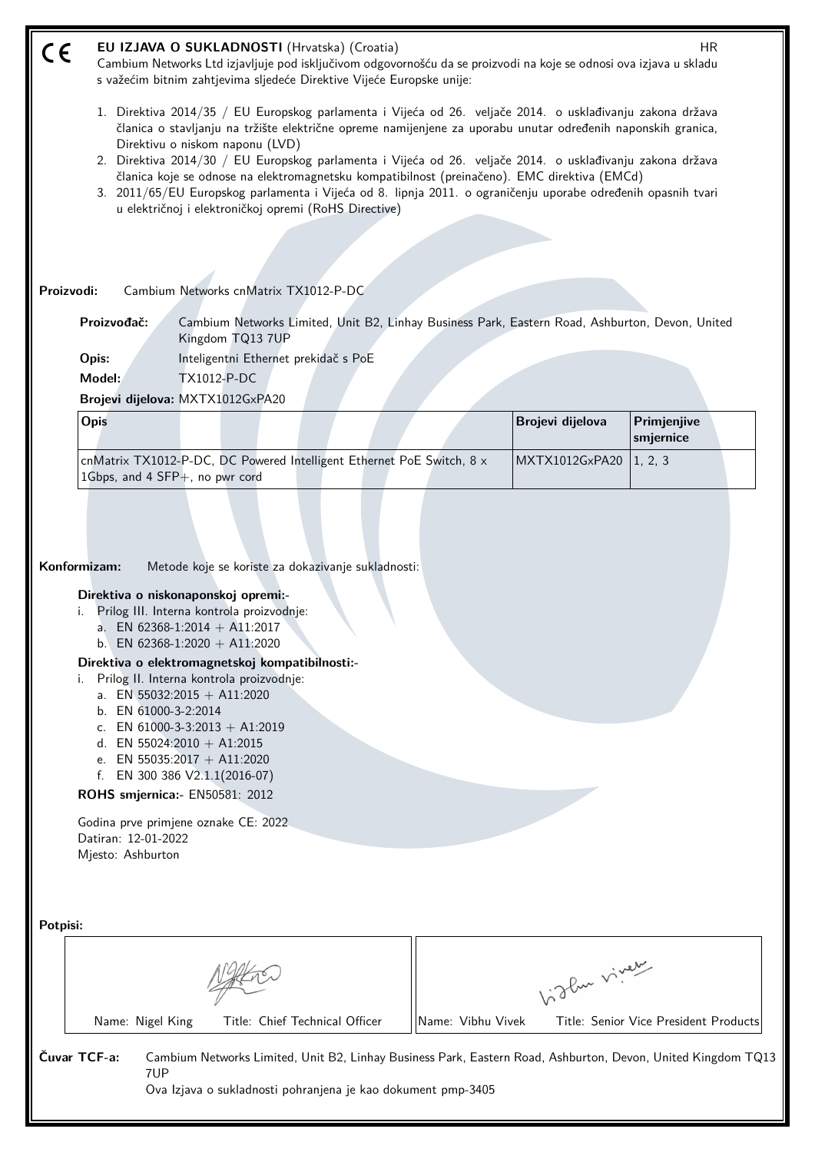| CE       |                                                                                                                                                                                                                                                                                                                                                                                                                                                                                                                                                                                                                                                    | EU IZJAVA O SUKLADNOSTI (Hrvatska) (Croatia)                                                                      | Cambium Networks Ltd izjavljuje pod isključivom odgovornošću da se proizvodi na koje se odnosi ova izjava u skladu<br>s važećim bitnim zahtjevima sljedeće Direktive Vijeće Europske unije: |                   |                  | HR                                    |  |  |  |
|----------|----------------------------------------------------------------------------------------------------------------------------------------------------------------------------------------------------------------------------------------------------------------------------------------------------------------------------------------------------------------------------------------------------------------------------------------------------------------------------------------------------------------------------------------------------------------------------------------------------------------------------------------------------|-------------------------------------------------------------------------------------------------------------------|---------------------------------------------------------------------------------------------------------------------------------------------------------------------------------------------|-------------------|------------------|---------------------------------------|--|--|--|
|          | 1. Direktiva 2014/35 / EU Europskog parlamenta i Vijeća od 26. veljače 2014. o usklađivanju zakona država<br>članica o stavljanju na tržište električne opreme namijenjene za uporabu unutar određenih naponskih granica,<br>Direktivu o niskom naponu (LVD)<br>2. Direktiva 2014/30 / EU Europskog parlamenta i Vijeća od 26. veljače 2014. o usklađivanju zakona država<br>članica koje se odnose na elektromagnetsku kompatibilnost (preinačeno). EMC direktiva (EMCd)<br>3. 2011/65/EU Europskog parlamenta i Vijeća od 8. lipnja 2011. o ograničenju uporabe određenih opasnih tvari<br>u električnoj i elektroničkoj opremi (RoHS Directive) |                                                                                                                   |                                                                                                                                                                                             |                   |                  |                                       |  |  |  |
|          |                                                                                                                                                                                                                                                                                                                                                                                                                                                                                                                                                                                                                                                    |                                                                                                                   |                                                                                                                                                                                             |                   |                  |                                       |  |  |  |
|          | Proizvodi:                                                                                                                                                                                                                                                                                                                                                                                                                                                                                                                                                                                                                                         | Cambium Networks cnMatrix TX1012-P-DC                                                                             |                                                                                                                                                                                             |                   |                  |                                       |  |  |  |
|          | Proizvođač:                                                                                                                                                                                                                                                                                                                                                                                                                                                                                                                                                                                                                                        | Kingdom TQ13 7UP                                                                                                  | Cambium Networks Limited, Unit B2, Linhay Business Park, Eastern Road, Ashburton, Devon, United                                                                                             |                   |                  |                                       |  |  |  |
|          | Opis:                                                                                                                                                                                                                                                                                                                                                                                                                                                                                                                                                                                                                                              | Inteligentni Ethernet prekidač s PoE                                                                              |                                                                                                                                                                                             |                   |                  |                                       |  |  |  |
|          | Model:                                                                                                                                                                                                                                                                                                                                                                                                                                                                                                                                                                                                                                             | <b>TX1012-P-DC</b><br>Brojevi dijelova: MXTX1012GxPA20                                                            |                                                                                                                                                                                             |                   |                  |                                       |  |  |  |
|          | Opis                                                                                                                                                                                                                                                                                                                                                                                                                                                                                                                                                                                                                                               |                                                                                                                   |                                                                                                                                                                                             |                   | Brojevi dijelova | Primjenjive<br>smjernice              |  |  |  |
|          | 1Gbps, and 4 SFP+, no pwr cord                                                                                                                                                                                                                                                                                                                                                                                                                                                                                                                                                                                                                     |                                                                                                                   | cnMatrix TX1012-P-DC, DC Powered Intelligent Ethernet PoE Switch, 8 x                                                                                                                       |                   | MXTX1012GxPA20   | 1, 2, 3                               |  |  |  |
|          |                                                                                                                                                                                                                                                                                                                                                                                                                                                                                                                                                                                                                                                    |                                                                                                                   |                                                                                                                                                                                             |                   |                  |                                       |  |  |  |
|          |                                                                                                                                                                                                                                                                                                                                                                                                                                                                                                                                                                                                                                                    |                                                                                                                   |                                                                                                                                                                                             |                   |                  |                                       |  |  |  |
|          |                                                                                                                                                                                                                                                                                                                                                                                                                                                                                                                                                                                                                                                    |                                                                                                                   |                                                                                                                                                                                             |                   |                  |                                       |  |  |  |
|          | Konformizam:                                                                                                                                                                                                                                                                                                                                                                                                                                                                                                                                                                                                                                       |                                                                                                                   | Metode koje se koriste za dokazivanje sukladnosti:                                                                                                                                          |                   |                  |                                       |  |  |  |
|          |                                                                                                                                                                                                                                                                                                                                                                                                                                                                                                                                                                                                                                                    | Direktiva o niskonaponskoj opremi:-<br>Prilog III. Interna kontrola proizvodnje:<br>a. EN 62368-1:2014 + A11:2017 |                                                                                                                                                                                             |                   |                  |                                       |  |  |  |
|          |                                                                                                                                                                                                                                                                                                                                                                                                                                                                                                                                                                                                                                                    | b. EN 62368-1:2020 + A11:2020<br>Direktiva o elektromagnetskoj kompatibilnosti:-                                  |                                                                                                                                                                                             |                   |                  |                                       |  |  |  |
|          | i.                                                                                                                                                                                                                                                                                                                                                                                                                                                                                                                                                                                                                                                 | Prilog II. Interna kontrola proizvodnje:                                                                          |                                                                                                                                                                                             |                   |                  |                                       |  |  |  |
|          | b. EN 61000-3-2:2014                                                                                                                                                                                                                                                                                                                                                                                                                                                                                                                                                                                                                               | a. EN 55032:2015 + A11:2020                                                                                       |                                                                                                                                                                                             |                   |                  |                                       |  |  |  |
|          |                                                                                                                                                                                                                                                                                                                                                                                                                                                                                                                                                                                                                                                    | c. EN 61000-3-3:2013 + A1:2019<br>d. EN 55024:2010 + A1:2015                                                      |                                                                                                                                                                                             |                   |                  |                                       |  |  |  |
|          |                                                                                                                                                                                                                                                                                                                                                                                                                                                                                                                                                                                                                                                    | e. EN 55035:2017 + A11:2020                                                                                       |                                                                                                                                                                                             |                   |                  |                                       |  |  |  |
|          |                                                                                                                                                                                                                                                                                                                                                                                                                                                                                                                                                                                                                                                    | f. EN 300 386 $V2.1.1(2016-07)$<br>ROHS smjernica:- EN50581: 2012                                                 |                                                                                                                                                                                             |                   |                  |                                       |  |  |  |
|          | Datiran: 12-01-2022                                                                                                                                                                                                                                                                                                                                                                                                                                                                                                                                                                                                                                | Godina prve primjene oznake CE: 2022                                                                              |                                                                                                                                                                                             |                   |                  |                                       |  |  |  |
|          | Mjesto: Ashburton                                                                                                                                                                                                                                                                                                                                                                                                                                                                                                                                                                                                                                  |                                                                                                                   |                                                                                                                                                                                             |                   |                  |                                       |  |  |  |
|          |                                                                                                                                                                                                                                                                                                                                                                                                                                                                                                                                                                                                                                                    |                                                                                                                   |                                                                                                                                                                                             |                   |                  |                                       |  |  |  |
| Potpisi: |                                                                                                                                                                                                                                                                                                                                                                                                                                                                                                                                                                                                                                                    |                                                                                                                   |                                                                                                                                                                                             |                   |                  |                                       |  |  |  |
|          |                                                                                                                                                                                                                                                                                                                                                                                                                                                                                                                                                                                                                                                    |                                                                                                                   |                                                                                                                                                                                             |                   |                  |                                       |  |  |  |
|          |                                                                                                                                                                                                                                                                                                                                                                                                                                                                                                                                                                                                                                                    |                                                                                                                   |                                                                                                                                                                                             |                   | Like viney       |                                       |  |  |  |
|          |                                                                                                                                                                                                                                                                                                                                                                                                                                                                                                                                                                                                                                                    |                                                                                                                   |                                                                                                                                                                                             |                   |                  |                                       |  |  |  |
|          | Name: Nigel King                                                                                                                                                                                                                                                                                                                                                                                                                                                                                                                                                                                                                                   |                                                                                                                   | Title: Chief Technical Officer                                                                                                                                                              | Name: Vibhu Vivek |                  | Title: Senior Vice President Products |  |  |  |
|          | Čuvar TCF-a:                                                                                                                                                                                                                                                                                                                                                                                                                                                                                                                                                                                                                                       |                                                                                                                   | Cambium Networks Limited, Unit B2, Linhay Business Park, Eastern Road, Ashburton, Devon, United Kingdom TQ13                                                                                |                   |                  |                                       |  |  |  |
|          | 7UP                                                                                                                                                                                                                                                                                                                                                                                                                                                                                                                                                                                                                                                |                                                                                                                   | Ova Izjava o sukladnosti pohranjena je kao dokument pmp-3405                                                                                                                                |                   |                  |                                       |  |  |  |
|          |                                                                                                                                                                                                                                                                                                                                                                                                                                                                                                                                                                                                                                                    |                                                                                                                   |                                                                                                                                                                                             |                   |                  |                                       |  |  |  |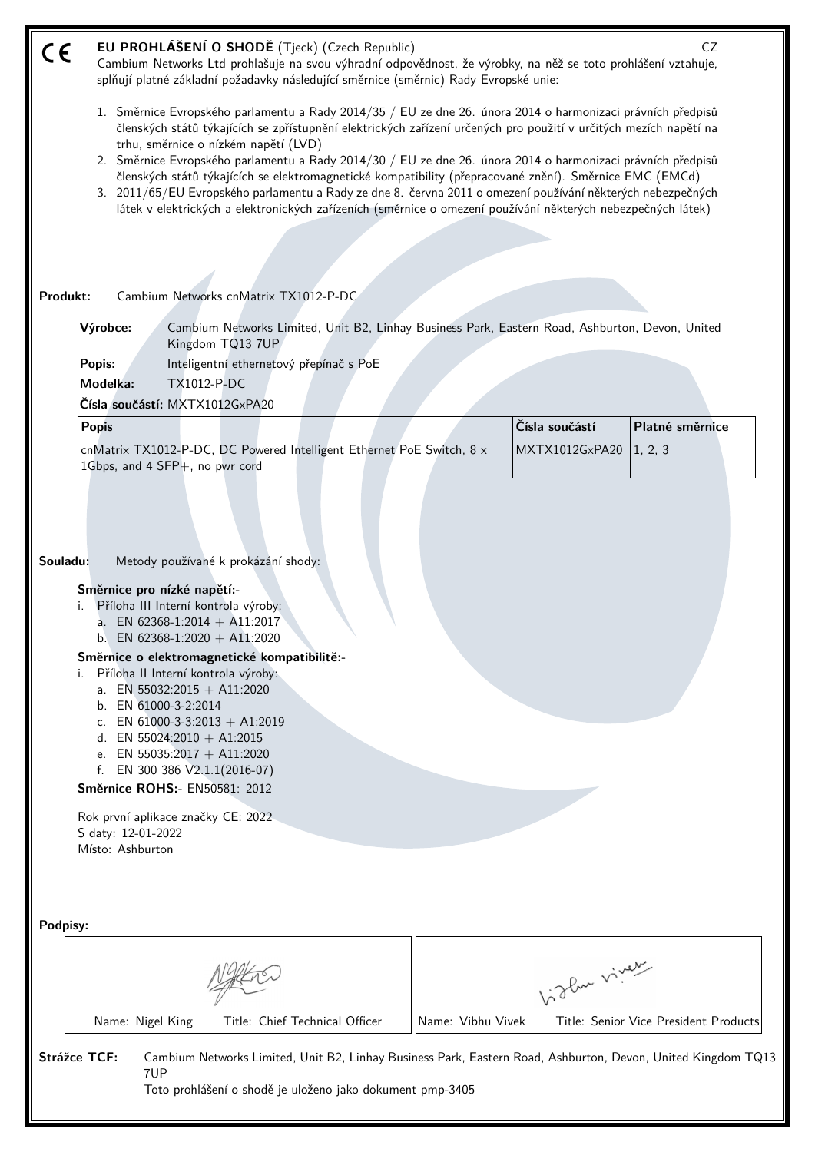| CE                                                                                                                                                                                                                                                                                                                                                                                                                                                                                                                                                                                                              | EU PROHLÁŠENÍ O SHODĚ (Tjeck) (Czech Republic)<br>CZ<br>Cambium Networks Ltd prohlašuje na svou výhradní odpovědnost, že výrobky, na něž se toto prohlášení vztahuje,<br>splňují platné základní požadavky následující směrnice (směrnic) Rady Evropské unie:<br>1. Směrnice Evropského parlamentu a Rady 2014/35 / EU ze dne 26. února 2014 o harmonizaci právních předpisů<br>členských států týkajících se zpřístupnění elektrických zařízení určených pro použití v určitých mezích napětí na |                |                                       |  |  |  |  |  |  |
|-----------------------------------------------------------------------------------------------------------------------------------------------------------------------------------------------------------------------------------------------------------------------------------------------------------------------------------------------------------------------------------------------------------------------------------------------------------------------------------------------------------------------------------------------------------------------------------------------------------------|---------------------------------------------------------------------------------------------------------------------------------------------------------------------------------------------------------------------------------------------------------------------------------------------------------------------------------------------------------------------------------------------------------------------------------------------------------------------------------------------------|----------------|---------------------------------------|--|--|--|--|--|--|
| trhu, směrnice o nízkém napětí (LVD)<br>2. Směrnice Evropského parlamentu a Rady 2014/30 / EU ze dne 26. února 2014 o harmonizaci právních předpisů<br>členských států týkajících se elektromagnetické kompatibility (přepracované znění). Směrnice EMC (EMCd)<br>3. 2011/65/EU Evropského parlamentu a Rady ze dne 8. června 2011 o omezení používání některých nebezpečných<br>látek v elektrických a elektronických zařízeních (směrnice o omezení používání některých nebezpečných látek)                                                                                                                   |                                                                                                                                                                                                                                                                                                                                                                                                                                                                                                   |                |                                       |  |  |  |  |  |  |
|                                                                                                                                                                                                                                                                                                                                                                                                                                                                                                                                                                                                                 |                                                                                                                                                                                                                                                                                                                                                                                                                                                                                                   |                |                                       |  |  |  |  |  |  |
| Cambium Networks cnMatrix TX1012-P-DC<br>Produkt:                                                                                                                                                                                                                                                                                                                                                                                                                                                                                                                                                               |                                                                                                                                                                                                                                                                                                                                                                                                                                                                                                   |                |                                       |  |  |  |  |  |  |
| Výrobce:<br>Cambium Networks Limited, Unit B2, Linhay Business Park, Eastern Road, Ashburton, Devon, United<br>Kingdom TQ13 7UP                                                                                                                                                                                                                                                                                                                                                                                                                                                                                 |                                                                                                                                                                                                                                                                                                                                                                                                                                                                                                   |                |                                       |  |  |  |  |  |  |
| Inteligentní ethernetový přepínač s PoE<br>Popis:                                                                                                                                                                                                                                                                                                                                                                                                                                                                                                                                                               |                                                                                                                                                                                                                                                                                                                                                                                                                                                                                                   |                |                                       |  |  |  |  |  |  |
| Modelka:<br><b>TX1012-P-DC</b><br>Čísla součástí: MXTX1012GxPA20                                                                                                                                                                                                                                                                                                                                                                                                                                                                                                                                                |                                                                                                                                                                                                                                                                                                                                                                                                                                                                                                   |                |                                       |  |  |  |  |  |  |
| <b>Popis</b>                                                                                                                                                                                                                                                                                                                                                                                                                                                                                                                                                                                                    |                                                                                                                                                                                                                                                                                                                                                                                                                                                                                                   | Čísla součástí | Platné směrnice                       |  |  |  |  |  |  |
| cnMatrix TX1012-P-DC, DC Powered Intelligent Ethernet PoE Switch, 8 x<br>1Gbps, and 4 SFP+, no pwr cord                                                                                                                                                                                                                                                                                                                                                                                                                                                                                                         |                                                                                                                                                                                                                                                                                                                                                                                                                                                                                                   | MXTX1012GxPA20 | 1, 2, 3                               |  |  |  |  |  |  |
| Souladu:<br>Metody používané k prokázání shody:<br>Směrnice pro nízké napětí:-<br>Příloha III Interní kontrola výroby:<br>a. EN 62368-1:2014 + A11:2017<br>EN 62368-1:2020 + A11:2020<br>b <sub>1</sub><br>Směrnice o elektromagnetické kompatibilitě:-<br>Příloha II Interní kontrola výroby:<br>i.<br>a. EN 55032:2015 + A11:2020<br>b. EN 61000-3-2:2014<br>c. EN 61000-3-3:2013 + A1:2019<br>d. EN 55024:2010 + A1:2015<br>e. EN 55035:2017 + A11:2020<br>EN 300 386 V2.1.1(2016-07)<br>f.<br>Směrnice ROHS:- EN50581: 2012<br>Rok první aplikace značky CE: 2022<br>S daty: 12-01-2022<br>Místo: Ashburton |                                                                                                                                                                                                                                                                                                                                                                                                                                                                                                   |                |                                       |  |  |  |  |  |  |
| Podpisy:                                                                                                                                                                                                                                                                                                                                                                                                                                                                                                                                                                                                        |                                                                                                                                                                                                                                                                                                                                                                                                                                                                                                   | Like viney     |                                       |  |  |  |  |  |  |
| Name: Nigel King<br>Title: Chief Technical Officer                                                                                                                                                                                                                                                                                                                                                                                                                                                                                                                                                              | Name: Vibhu Vivek                                                                                                                                                                                                                                                                                                                                                                                                                                                                                 |                | Title: Senior Vice President Products |  |  |  |  |  |  |
|                                                                                                                                                                                                                                                                                                                                                                                                                                                                                                                                                                                                                 |                                                                                                                                                                                                                                                                                                                                                                                                                                                                                                   |                |                                       |  |  |  |  |  |  |
| <b>Strážce TCF:</b><br>Cambium Networks Limited, Unit B2, Linhay Business Park, Eastern Road, Ashburton, Devon, United Kingdom TQ13<br>7UP<br>Toto prohlášení o shodě je uloženo jako dokument pmp-3405                                                                                                                                                                                                                                                                                                                                                                                                         |                                                                                                                                                                                                                                                                                                                                                                                                                                                                                                   |                |                                       |  |  |  |  |  |  |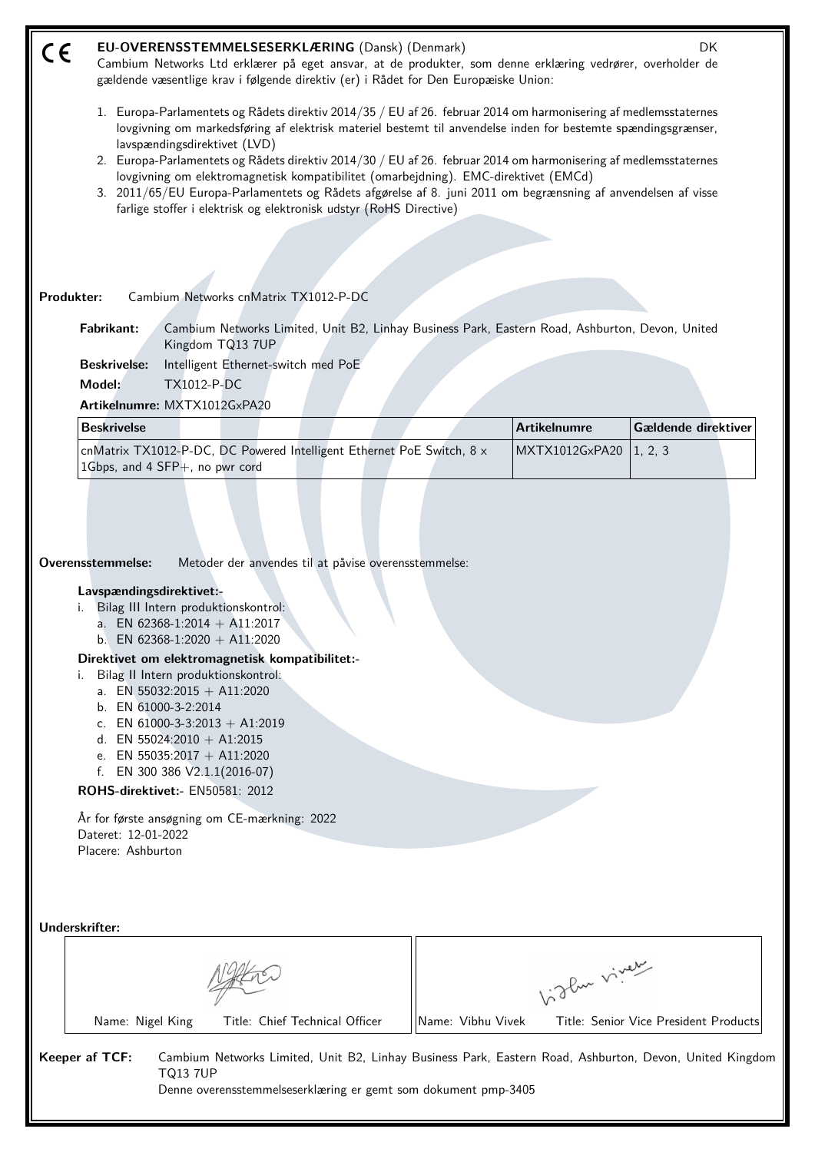| C€ | EU-OVERENSSTEMMELSESERKLÆRING (Dansk) (Denmark)<br>DK<br>Cambium Networks Ltd erklærer på eget ansvar, at de produkter, som denne erklæring vedrører, overholder de<br>gældende væsentlige krav i følgende direktiv (er) i Rådet for Den Europæiske Union:                                                                                                                                                                                                                                                                                                                                                                            |  |                     |                     |  |  |  |  |
|----|---------------------------------------------------------------------------------------------------------------------------------------------------------------------------------------------------------------------------------------------------------------------------------------------------------------------------------------------------------------------------------------------------------------------------------------------------------------------------------------------------------------------------------------------------------------------------------------------------------------------------------------|--|---------------------|---------------------|--|--|--|--|
|    | 1. Europa-Parlamentets og Rådets direktiv 2014/35 / EU af 26. februar 2014 om harmonisering af medlemsstaternes<br>lovgivning om markedsføring af elektrisk materiel bestemt til anvendelse inden for bestemte spændingsgrænser,<br>lavspændingsdirektivet (LVD)<br>2. Europa-Parlamentets og Rådets direktiv 2014/30 / EU af 26. februar 2014 om harmonisering af medlemsstaternes<br>lovgivning om elektromagnetisk kompatibilitet (omarbejdning). EMC-direktivet (EMCd)<br>3. 2011/65/EU Europa-Parlamentets og Rådets afgørelse af 8. juni 2011 om begrænsning af anvendelsen af visse                                            |  |                     |                     |  |  |  |  |
|    | farlige stoffer i elektrisk og elektronisk udstyr (RoHS Directive)                                                                                                                                                                                                                                                                                                                                                                                                                                                                                                                                                                    |  |                     |                     |  |  |  |  |
|    |                                                                                                                                                                                                                                                                                                                                                                                                                                                                                                                                                                                                                                       |  |                     |                     |  |  |  |  |
|    |                                                                                                                                                                                                                                                                                                                                                                                                                                                                                                                                                                                                                                       |  |                     |                     |  |  |  |  |
|    | Produkter:<br>Cambium Networks cnMatrix TX1012-P-DC                                                                                                                                                                                                                                                                                                                                                                                                                                                                                                                                                                                   |  |                     |                     |  |  |  |  |
|    | <b>Fabrikant:</b><br>Cambium Networks Limited, Unit B2, Linhay Business Park, Eastern Road, Ashburton, Devon, United<br>Kingdom TQ13 7UP                                                                                                                                                                                                                                                                                                                                                                                                                                                                                              |  |                     |                     |  |  |  |  |
|    | Intelligent Ethernet-switch med PoE<br><b>Beskrivelse:</b><br>Model:<br>TX1012-P-DC                                                                                                                                                                                                                                                                                                                                                                                                                                                                                                                                                   |  |                     |                     |  |  |  |  |
|    | Artikelnumre: MXTX1012GxPA20                                                                                                                                                                                                                                                                                                                                                                                                                                                                                                                                                                                                          |  |                     |                     |  |  |  |  |
|    | <b>Beskrivelse</b>                                                                                                                                                                                                                                                                                                                                                                                                                                                                                                                                                                                                                    |  | <b>Artikelnumre</b> | Gældende direktiver |  |  |  |  |
|    | cnMatrix TX1012-P-DC, DC Powered Intelligent Ethernet PoE Switch, 8 x<br>1Gbps, and 4 SFP+, no pwr cord                                                                                                                                                                                                                                                                                                                                                                                                                                                                                                                               |  | MXTX1012GxPA20      | 1, 2, 3             |  |  |  |  |
|    | Overensstemmelse:<br>Metoder der anvendes til at påvise overensstemmelse:<br>Lavspændingsdirektivet:-<br>i. Bilag III Intern produktionskontrol:<br>a. EN 62368-1:2014 + A11:2017<br>b. EN 62368-1:2020 + A11:2020<br>Direktivet om elektromagnetisk kompatibilitet:-<br>Bilag II Intern produktionskontrol:<br>a. EN 55032:2015 + A11:2020<br>b. EN 61000-3-2:2014<br>c. EN 61000-3-3:2013 + A1:2019<br>d. EN 55024:2010 + A1:2015<br>e. EN 55035:2017 + A11:2020<br>f. EN 300 386 $V2.1.1(2016-07)$<br>ROHS-direktivet:- EN50581: 2012<br>År for første ansøgning om CE-mærkning: 2022<br>Dateret: 12-01-2022<br>Placere: Ashburton |  |                     |                     |  |  |  |  |
|    | Underskrifter:                                                                                                                                                                                                                                                                                                                                                                                                                                                                                                                                                                                                                        |  | birthe viver        |                     |  |  |  |  |
|    | Title: Chief Technical Officer<br>Name: Vibhu Vivek<br>Name: Nigel King<br>Title: Senior Vice President Products<br>Keeper af TCF:<br>Cambium Networks Limited, Unit B2, Linhay Business Park, Eastern Road, Ashburton, Devon, United Kingdom<br><b>TQ13 7UP</b><br>Denne overensstemmelseserklæring er gemt som dokument pmp-3405                                                                                                                                                                                                                                                                                                    |  |                     |                     |  |  |  |  |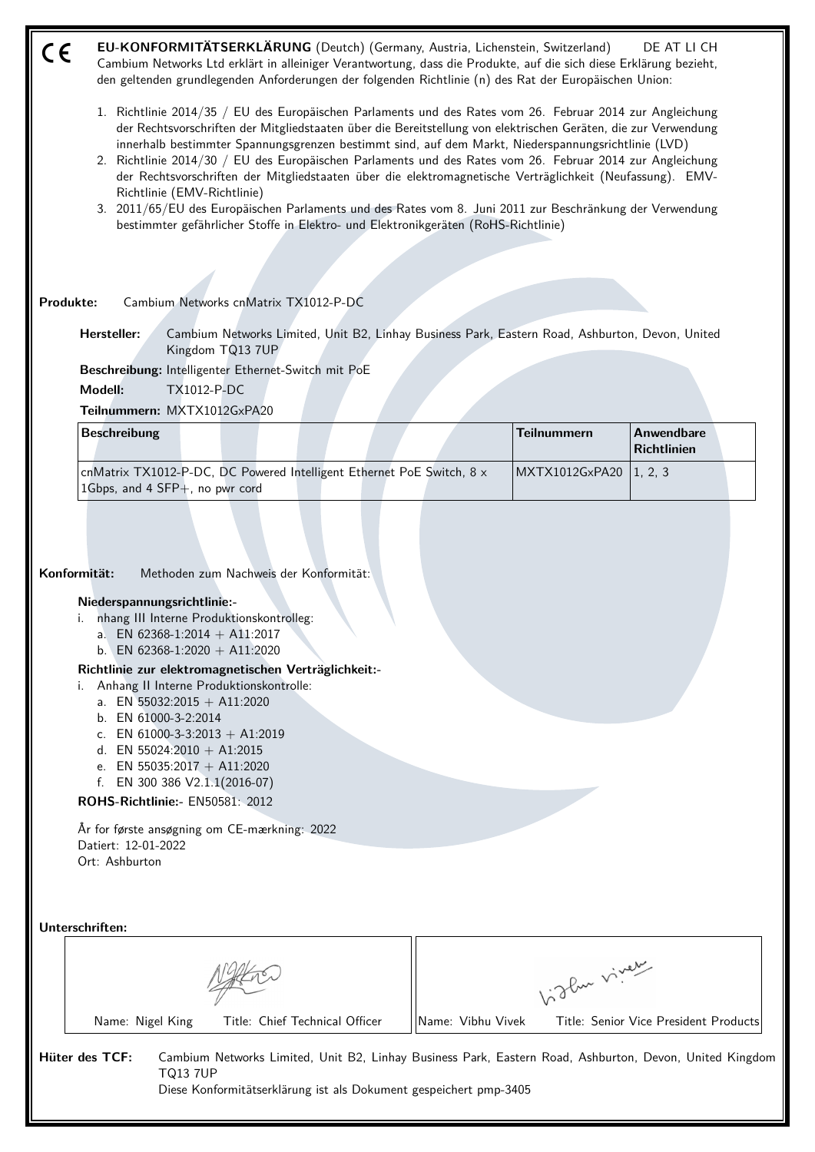| C€ | EU-KONFORMITÄTSERKLÄRUNG (Deutch) (Germany, Austria, Lichenstein, Switzerland)<br>Cambium Networks Ltd erklärt in alleiniger Verantwortung, dass die Produkte, auf die sich diese Erklärung bezieht,<br>den geltenden grundlegenden Anforderungen der folgenden Richtlinie (n) des Rat der Europäischen Union:                                                                                                                                                                                                                                                                                                                                                                                                                                                                                 |                   |                    | DE AT LI CH                           |  |  |  |  |  |
|----|------------------------------------------------------------------------------------------------------------------------------------------------------------------------------------------------------------------------------------------------------------------------------------------------------------------------------------------------------------------------------------------------------------------------------------------------------------------------------------------------------------------------------------------------------------------------------------------------------------------------------------------------------------------------------------------------------------------------------------------------------------------------------------------------|-------------------|--------------------|---------------------------------------|--|--|--|--|--|
|    | 1. Richtlinie 2014/35 / EU des Europäischen Parlaments und des Rates vom 26. Februar 2014 zur Angleichung<br>der Rechtsvorschriften der Mitgliedstaaten über die Bereitstellung von elektrischen Geräten, die zur Verwendung<br>innerhalb bestimmter Spannungsgrenzen bestimmt sind, auf dem Markt, Niederspannungsrichtlinie (LVD)<br>2. Richtlinie 2014/30 / EU des Europäischen Parlaments und des Rates vom 26. Februar 2014 zur Angleichung<br>der Rechtsvorschriften der Mitgliedstaaten über die elektromagnetische Verträglichkeit (Neufassung). EMV-<br>Richtlinie (EMV-Richtlinie)<br>3. 2011/65/EU des Europäischen Parlaments und des Rates vom 8. Juni 2011 zur Beschränkung der Verwendung<br>bestimmter gefährlicher Stoffe in Elektro- und Elektronikgeräten (RoHS-Richtlinie) |                   |                    |                                       |  |  |  |  |  |
|    |                                                                                                                                                                                                                                                                                                                                                                                                                                                                                                                                                                                                                                                                                                                                                                                                |                   |                    |                                       |  |  |  |  |  |
|    | Cambium Networks cnMatrix TX1012-P-DC<br>Produkte:                                                                                                                                                                                                                                                                                                                                                                                                                                                                                                                                                                                                                                                                                                                                             |                   |                    |                                       |  |  |  |  |  |
|    | Hersteller:<br>Cambium Networks Limited, Unit B2, Linhay Business Park, Eastern Road, Ashburton, Devon, United<br>Kingdom TQ13 7UP                                                                                                                                                                                                                                                                                                                                                                                                                                                                                                                                                                                                                                                             |                   |                    |                                       |  |  |  |  |  |
|    | Beschreibung: Intelligenter Ethernet-Switch mit PoE                                                                                                                                                                                                                                                                                                                                                                                                                                                                                                                                                                                                                                                                                                                                            |                   |                    |                                       |  |  |  |  |  |
|    | Modell:<br><b>TX1012-P-DC</b><br>Teilnummern: MXTX1012GxPA20                                                                                                                                                                                                                                                                                                                                                                                                                                                                                                                                                                                                                                                                                                                                   |                   |                    |                                       |  |  |  |  |  |
|    | <b>Beschreibung</b>                                                                                                                                                                                                                                                                                                                                                                                                                                                                                                                                                                                                                                                                                                                                                                            |                   | <b>Teilnummern</b> | Anwendbare<br><b>Richtlinien</b>      |  |  |  |  |  |
|    | cnMatrix TX1012-P-DC, DC Powered Intelligent Ethernet PoE Switch, 8 x<br>1Gbps, and 4 SFP+, no pwr cord                                                                                                                                                                                                                                                                                                                                                                                                                                                                                                                                                                                                                                                                                        |                   | MXTX1012GxPA20     | 1, 2, 3                               |  |  |  |  |  |
|    | Konformität:<br>Methoden zum Nachweis der Konformität:<br>Niederspannungsrichtlinie:-<br>nhang III Interne Produktionskontrolleg:<br>i.<br>a. EN 62368-1:2014 + A11:2017<br>b. EN 62368-1:2020 + A11:2020<br>Richtlinie zur elektromagnetischen Verträglichkeit:-<br>Anhang II Interne Produktionskontrolle:<br>i.<br>a. EN 55032:2015 + A11:2020<br>b. EN 61000-3-2:2014<br>c. EN 61000-3-3:2013 + A1:2019<br>d. EN 55024:2010 + A1:2015<br>e. EN 55035:2017 + A11:2020<br>f. EN 300 386 $V2.1.1(2016-07)$<br>ROHS-Richtlinie:- EN50581: 2012<br>År for første ansøgning om CE-mærkning: 2022<br>Datiert: 12-01-2022<br>Ort: Ashburton                                                                                                                                                        |                   |                    |                                       |  |  |  |  |  |
|    | Unterschriften:                                                                                                                                                                                                                                                                                                                                                                                                                                                                                                                                                                                                                                                                                                                                                                                |                   |                    |                                       |  |  |  |  |  |
|    |                                                                                                                                                                                                                                                                                                                                                                                                                                                                                                                                                                                                                                                                                                                                                                                                |                   | birthe vivey       |                                       |  |  |  |  |  |
|    | Title: Chief Technical Officer<br>Name: Nigel King                                                                                                                                                                                                                                                                                                                                                                                                                                                                                                                                                                                                                                                                                                                                             | Name: Vibhu Vivek |                    | Title: Senior Vice President Products |  |  |  |  |  |
|    | Hüter des TCF:<br>Cambium Networks Limited, Unit B2, Linhay Business Park, Eastern Road, Ashburton, Devon, United Kingdom<br><b>TQ13 7UP</b><br>Diese Konformitätserklärung ist als Dokument gespeichert pmp-3405                                                                                                                                                                                                                                                                                                                                                                                                                                                                                                                                                                              |                   |                    |                                       |  |  |  |  |  |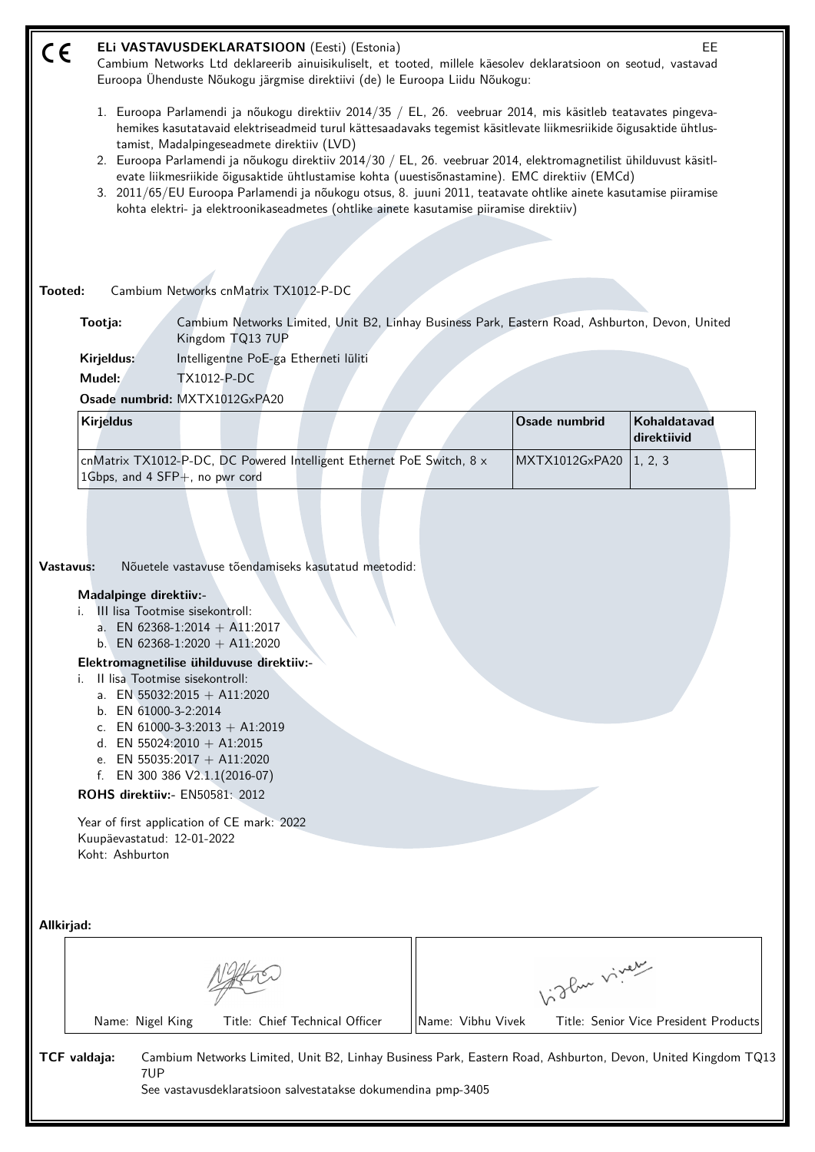| CE         | ELi VASTAVUSDEKLARATSIOON (Eesti) (Estonia)<br>EE<br>Cambium Networks Ltd deklareerib ainuisikuliselt, et tooted, millele käesolev deklaratsioon on seotud, vastavad<br>Euroopa Ühenduste Nõukogu järgmise direktiivi (de) le Euroopa Liidu Nõukogu: |     |                                                                                                                                                                                                                                                                                                                            |                                                                                                                                                                                                                                                                                                                                                                                                                                                                                                                                                                                                                                                                       |                   |                |                                                                                                              |  |
|------------|------------------------------------------------------------------------------------------------------------------------------------------------------------------------------------------------------------------------------------------------------|-----|----------------------------------------------------------------------------------------------------------------------------------------------------------------------------------------------------------------------------------------------------------------------------------------------------------------------------|-----------------------------------------------------------------------------------------------------------------------------------------------------------------------------------------------------------------------------------------------------------------------------------------------------------------------------------------------------------------------------------------------------------------------------------------------------------------------------------------------------------------------------------------------------------------------------------------------------------------------------------------------------------------------|-------------------|----------------|--------------------------------------------------------------------------------------------------------------|--|
|            |                                                                                                                                                                                                                                                      |     | tamist, Madalpingeseadmete direktiiv (LVD)                                                                                                                                                                                                                                                                                 | 1. Euroopa Parlamendi ja nõukogu direktiiv 2014/35 / EL, 26. veebruar 2014, mis käsitleb teatavates pingeva-<br>hemikes kasutatavaid elektriseadmeid turul kättesaadavaks tegemist käsitlevate liikmesriikide õigusaktide ühtlus-<br>2. Euroopa Parlamendi ja nõukogu direktiiv 2014/30 / EL, 26. veebruar 2014, elektromagnetilist ühilduvust käsitl-<br>evate liikmesriikide õigusaktide ühtlustamise kohta (uuestisõnastamine). EMC direktiiv (EMCd)<br>3. 2011/65/EU Euroopa Parlamendi ja nõukogu otsus, 8. juuni 2011, teatavate ohtlike ainete kasutamise piiramise<br>kohta elektri- ja elektroonikaseadmetes (ohtlike ainete kasutamise piiramise direktiiv) |                   |                |                                                                                                              |  |
| Tooted:    |                                                                                                                                                                                                                                                      |     | Cambium Networks cnMatrix TX1012-P-DC                                                                                                                                                                                                                                                                                      |                                                                                                                                                                                                                                                                                                                                                                                                                                                                                                                                                                                                                                                                       |                   |                |                                                                                                              |  |
|            | Tootja:                                                                                                                                                                                                                                              |     | Kingdom TQ13 7UP                                                                                                                                                                                                                                                                                                           | Cambium Networks Limited, Unit B2, Linhay Business Park, Eastern Road, Ashburton, Devon, United                                                                                                                                                                                                                                                                                                                                                                                                                                                                                                                                                                       |                   |                |                                                                                                              |  |
|            | Kirjeldus:<br>Mudel:                                                                                                                                                                                                                                 |     | <b>TX1012-P-DC</b><br>Osade numbrid: MXTX1012GxPA20                                                                                                                                                                                                                                                                        | Intelligentne PoE-ga Etherneti lüliti                                                                                                                                                                                                                                                                                                                                                                                                                                                                                                                                                                                                                                 |                   |                |                                                                                                              |  |
|            | <b>Kirjeldus</b>                                                                                                                                                                                                                                     |     |                                                                                                                                                                                                                                                                                                                            |                                                                                                                                                                                                                                                                                                                                                                                                                                                                                                                                                                                                                                                                       |                   | Osade numbrid  | Kohaldatavad<br>direktiivid                                                                                  |  |
|            | 1Gbps, and 4 SFP+, no pwr cord                                                                                                                                                                                                                       |     |                                                                                                                                                                                                                                                                                                                            | cnMatrix TX1012-P-DC, DC Powered Intelligent Ethernet PoE Switch, 8 x                                                                                                                                                                                                                                                                                                                                                                                                                                                                                                                                                                                                 |                   | MXTX1012GxPA20 | 1, 2, 3                                                                                                      |  |
|            | Madalpinge direktiiv:-<br>III lisa Tootmise sisekontroll:<br>Il lisa Tootmise sisekontroll:<br>b. EN 61000-3-2:2014<br>ROHS direktiiv:- EN50581: 2012<br>Kuupäevastatud: 12-01-2022<br>Koht: Ashburton                                               |     | a. EN 62368-1:2014 + A11:2017<br>b. EN 62368-1:2020 + A11:2020<br>Elektromagnetilise ühilduvuse direktiiv:-<br>a. EN 55032:2015 + A11:2020<br>c. EN 61000-3-3:2013 + A1:2019<br>d. EN 55024:2010 + A1:2015<br>e. EN 55035:2017 + A11:2020<br>f. EN 300 386 $V2.1.1(2016-07)$<br>Year of first application of CE mark: 2022 |                                                                                                                                                                                                                                                                                                                                                                                                                                                                                                                                                                                                                                                                       |                   |                |                                                                                                              |  |
| Allkirjad: |                                                                                                                                                                                                                                                      |     |                                                                                                                                                                                                                                                                                                                            |                                                                                                                                                                                                                                                                                                                                                                                                                                                                                                                                                                                                                                                                       |                   | Light viney    |                                                                                                              |  |
|            | Name: Nigel King                                                                                                                                                                                                                                     |     |                                                                                                                                                                                                                                                                                                                            | Title: Chief Technical Officer                                                                                                                                                                                                                                                                                                                                                                                                                                                                                                                                                                                                                                        | Name: Vibhu Vivek |                | Title: Senior Vice President Products                                                                        |  |
|            | TCF valdaja:                                                                                                                                                                                                                                         | 7UP |                                                                                                                                                                                                                                                                                                                            | See vastavusdeklaratsioon salvestatakse dokumendina pmp-3405                                                                                                                                                                                                                                                                                                                                                                                                                                                                                                                                                                                                          |                   |                | Cambium Networks Limited, Unit B2, Linhay Business Park, Eastern Road, Ashburton, Devon, United Kingdom TQ13 |  |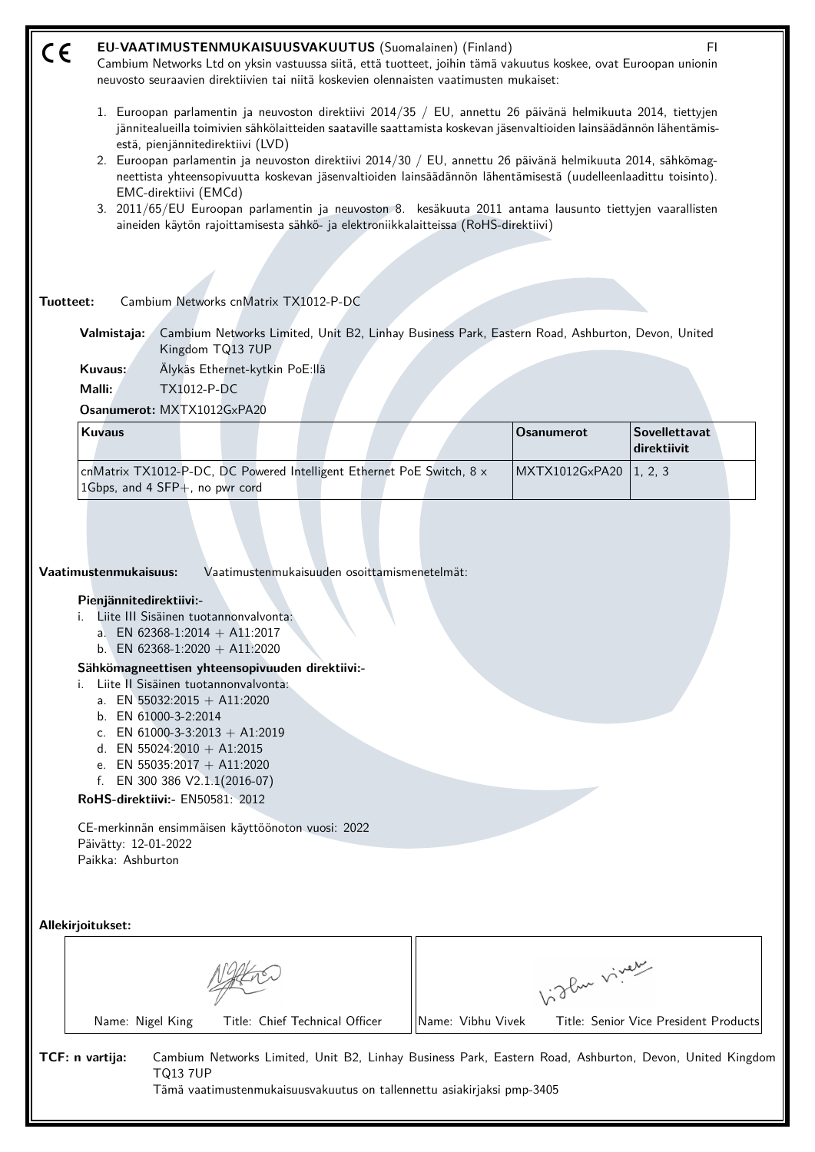| CE        | EU-VAATIMUSTENMUKAISUUSVAKUUTUS (Suomalainen) (Finland)<br>FL<br>Cambium Networks Ltd on yksin vastuussa siitä, että tuotteet, joihin tämä vakuutus koskee, ovat Euroopan unionin<br>neuvosto seuraavien direktiivien tai niitä koskevien olennaisten vaatimusten mukaiset:                                                                                                                                                                                                                                                                                                                                                                                                                                                          |                   |                                     |  |  |  |  |  |
|-----------|--------------------------------------------------------------------------------------------------------------------------------------------------------------------------------------------------------------------------------------------------------------------------------------------------------------------------------------------------------------------------------------------------------------------------------------------------------------------------------------------------------------------------------------------------------------------------------------------------------------------------------------------------------------------------------------------------------------------------------------|-------------------|-------------------------------------|--|--|--|--|--|
|           | 1. Euroopan parlamentin ja neuvoston direktiivi 2014/35 / EU, annettu 26 päivänä helmikuuta 2014, tiettyjen<br>jännitealueilla toimivien sähkölaitteiden saataville saattamista koskevan jäsenvaltioiden lainsäädännön lähentämis-<br>estä, pienjännitedirektiivi (LVD)<br>2. Euroopan parlamentin ja neuvoston direktiivi 2014/30 / EU, annettu 26 päivänä helmikuuta 2014, sähkömag-<br>neettista yhteensopivuutta koskevan jäsenvaltioiden lainsäädännön lähentämisestä (uudelleenlaadittu toisinto).<br>EMC-direktiivi (EMCd)<br>3. 2011/65/EU Euroopan parlamentin ja neuvoston 8. kesäkuuta 2011 antama lausunto tiettyjen vaarallisten<br>aineiden käytön rajoittamisesta sähkö- ja elektroniikkalaitteissa (RoHS-direktiivi) |                   |                                     |  |  |  |  |  |
| Tuotteet: | Cambium Networks cnMatrix TX1012-P-DC                                                                                                                                                                                                                                                                                                                                                                                                                                                                                                                                                                                                                                                                                                |                   |                                     |  |  |  |  |  |
|           | Cambium Networks Limited, Unit B2, Linhay Business Park, Eastern Road, Ashburton, Devon, United<br>Valmistaja:<br>Kingdom TQ13 7UP<br>Kuvaus:<br>Älykäs Ethernet-kytkin PoE:llä<br>Malli:<br><b>TX1012-P-DC</b><br>Osanumerot: MXTX1012GxPA20                                                                                                                                                                                                                                                                                                                                                                                                                                                                                        |                   |                                     |  |  |  |  |  |
|           | <b>Kuvaus</b>                                                                                                                                                                                                                                                                                                                                                                                                                                                                                                                                                                                                                                                                                                                        | <b>Osanumerot</b> | <b>Sovellettavat</b><br>direktiivit |  |  |  |  |  |
|           | cnMatrix TX1012-P-DC, DC Powered Intelligent Ethernet PoE Switch, 8 x<br>1Gbps, and 4 SFP+, no pwr cord                                                                                                                                                                                                                                                                                                                                                                                                                                                                                                                                                                                                                              | MXTX1012GxPA20    | 1, 2, 3                             |  |  |  |  |  |
|           | Vaatimustenmukaisuus:<br>Vaatimustenmukaisuuden osoittamismenetelmät:<br>Pienjännitedirektiivi:-<br>Liite III Sisäinen tuotannonvalvonta:<br>a. EN 62368-1:2014 + A11:2017<br>b. EN 62368-1:2020 + A11:2020<br>Sähkömagneettisen yhteensopivuuden direktiivi:-<br>Liite II Sisäinen tuotannonvalvonta:<br>i.<br>a. EN 55032:2015 + A11:2020<br>b. EN 61000-3-2:2014<br>c. EN 61000-3-3:2013 + A1:2019<br>d. EN 55024:2010 + A1:2015<br>e. EN 55035:2017 + A11:2020<br>f. EN 300 386 $V2.1.1(2016-07)$<br>RoHS-direktiivi:- EN50581: 2012<br>CE-merkinnän ensimmäisen käyttöönoton vuosi: 2022<br>Päivätty: 12-01-2022<br>Paikka: Ashburton                                                                                           |                   |                                     |  |  |  |  |  |
|           | Allekirjoitukset:                                                                                                                                                                                                                                                                                                                                                                                                                                                                                                                                                                                                                                                                                                                    |                   |                                     |  |  |  |  |  |
|           |                                                                                                                                                                                                                                                                                                                                                                                                                                                                                                                                                                                                                                                                                                                                      | birthe viver      |                                     |  |  |  |  |  |

**TCF: n vartija:** Cambium Networks Limited, Unit B2, Linhay Business Park, Eastern Road, Ashburton, Devon, United Kingdom TQ13 7UP Tämä vaatimustenmukaisuusvakuutus on tallennettu asiakirjaksi pmp-3405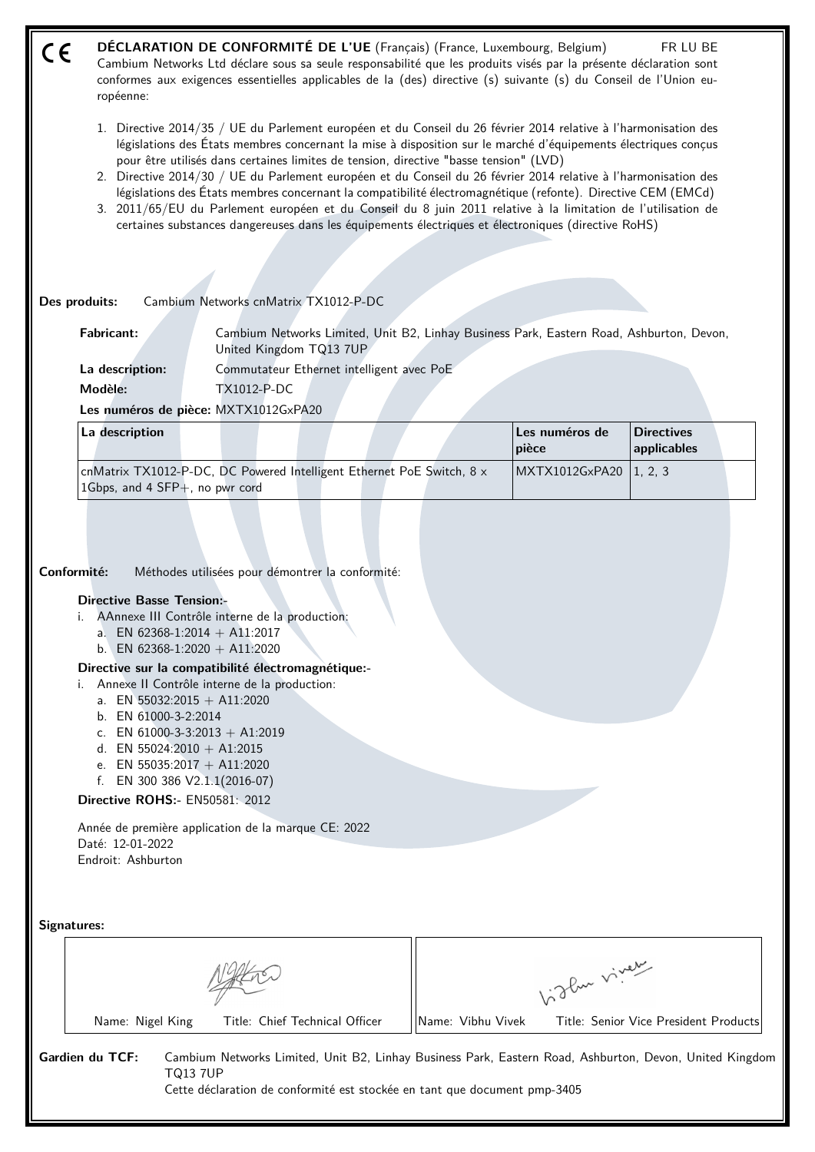- **DÉCLARATION DE CONFORMITÉ DE L'UE** (Français) (France, Luxembourg, Belgium) FR LU BE  $\epsilon$ Cambium Networks Ltd déclare sous sa seule responsabilité que les produits visés par la présente déclaration sont conformes aux exigences essentielles applicables de la (des) directive (s) suivante (s) du Conseil de l'Union européenne:
	- 1. Directive 2014/35 / UE du Parlement européen et du Conseil du 26 février 2014 relative à l'harmonisation des législations des États membres concernant la mise à disposition sur le marché d'équipements électriques conçus pour être utilisés dans certaines limites de tension, directive "basse tension" (LVD)
	- 2. Directive 2014/30 / UE du Parlement européen et du Conseil du 26 février 2014 relative à l'harmonisation des législations des États membres concernant la compatibilité électromagnétique (refonte). Directive CEM (EMCd)
	- 3. 2011/65/EU du Parlement européen et du Conseil du 8 juin 2011 relative à la limitation de l'utilisation de certaines substances dangereuses dans les équipements électriques et électroniques (directive RoHS)

**Des produits:** Cambium Networks cnMatrix TX1012-P-DC

| <b>Fabricant:</b> | Cambium Networks Limited, Unit B2, Linhay Business Park, Eastern Road, Ashburton, Devon,<br>United Kingdom TQ13 7UP |
|-------------------|---------------------------------------------------------------------------------------------------------------------|
| La description:   | Commutateur Ethernet intelligent avec PoE                                                                           |
| Modèle:           | TX1012-P-DC                                                                                                         |

**Les numéros de pièce:** MXTX1012GxPA20

| La description                                                        |  |  |  | Les numéros de<br>  pièce | <b>Directives</b><br>$ $ applicables |  |
|-----------------------------------------------------------------------|--|--|--|---------------------------|--------------------------------------|--|
| cnMatrix TX1012-P-DC, DC Powered Intelligent Ethernet PoE Switch, 8 x |  |  |  | MXTX1012GxPA20   1, 2, 3  |                                      |  |
| 1Gbps, and 4 $SFP+$ , no pwr cord                                     |  |  |  |                           |                                      |  |

**Conformité:** Méthodes utilisées pour démontrer la conformité:

## **Directive Basse Tension:-**

- i. AAnnexe III Contrôle interne de la production:
	- a. EN 62368-1:2014 + A11:2017
	- b. EN 62368-1:2020 + A11:2020

# **Directive sur la compatibilité électromagnétique:-**

- i. Annexe II Contrôle interne de la production:
	- a. EN 55032:2015 + A11:2020
	- b. EN 61000-3-2:2014
	- c. EN 61000-3-3:2013 + A1:2019
	- d. EN 55024:2010 + A1:2015
	- e. EN 55035:2017 + A11:2020
	- f. EN 300 386 V2.1.1(2016-07)

## **Directive ROHS:-** EN50581: 2012

Année de première application de la marque CE: 2022 Daté: 12-01-2022 Endroit: Ashburton

**Signatures:**

|                  |                                | glue viver        |                                                                                                         |  |
|------------------|--------------------------------|-------------------|---------------------------------------------------------------------------------------------------------|--|
| Name: Nigel King | Title: Chief Technical Officer | Name: Vibhu Vivek | Title: Senior Vice President Products                                                                   |  |
| Gardien du TCF:  | ГQ13 7UP                       |                   | Cambium Networks Limited, Unit B2, Linhay Business Park, Eastern Road, Ashburton, Devon, United Kingdom |  |

Cette déclaration de conformité est stockée en tant que document pmp-3405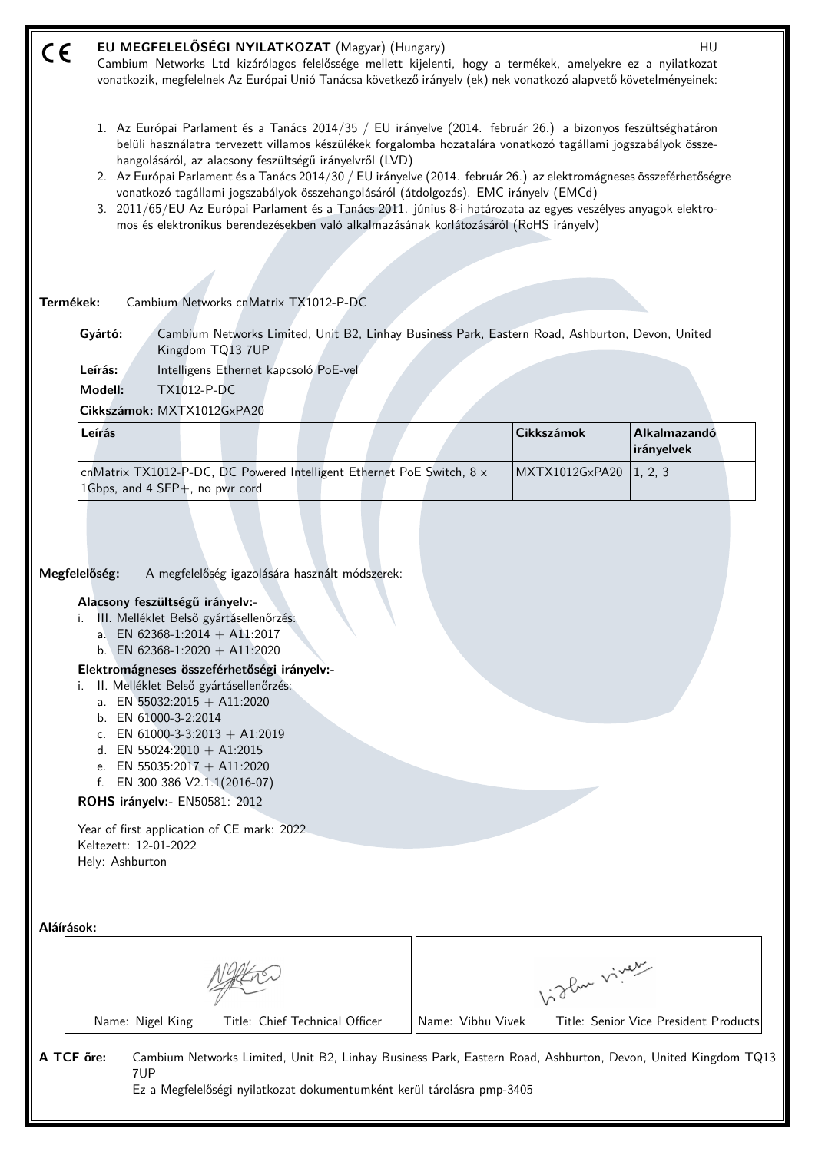| CE                  | EU MEGFELELŐSÉGI NYILATKOZAT (Magyar) (Hungary)<br>Cambium Networks Ltd kizárólagos felelőssége mellett kijelenti, hogy a termékek, amelyekre ez a nyilatkozat<br>vonatkozik, megfelelnek Az Európai Unió Tanácsa következő irányelv (ek) nek vonatkozó alapvető követelményeinek:                                                                                                                                                                                                                                                                                                                                                                                                                                  |                   |                   | HU                                    |
|---------------------|---------------------------------------------------------------------------------------------------------------------------------------------------------------------------------------------------------------------------------------------------------------------------------------------------------------------------------------------------------------------------------------------------------------------------------------------------------------------------------------------------------------------------------------------------------------------------------------------------------------------------------------------------------------------------------------------------------------------|-------------------|-------------------|---------------------------------------|
|                     | 1. Az Európai Parlament és a Tanács 2014/35 / EU irányelve (2014. február 26.) a bizonyos feszültséghatáron<br>belüli használatra tervezett villamos készülékek forgalomba hozatalára vonatkozó tagállami jogszabályok össze-<br>hangolásáról, az alacsony feszültségű irányelvről (LVD)<br>2. Az Európai Parlament és a Tanács 2014/30 / EU irányelve (2014. február 26.) az elektromágneses összeférhetőségre<br>vonatkozó tagállami jogszabályok összehangolásáról (átdolgozás). EMC irányelv (EMCd)<br>3. 2011/65/EU Az Európai Parlament és a Tanács 2011. június 8-i határozata az egyes veszélyes anyagok elektro-<br>mos és elektronikus berendezésekben való alkalmazásának korlátozásáról (RoHS irányelv) |                   |                   |                                       |
| Termékek:           | Cambium Networks cnMatrix TX1012-P-DC                                                                                                                                                                                                                                                                                                                                                                                                                                                                                                                                                                                                                                                                               |                   |                   |                                       |
|                     | Cambium Networks Limited, Unit B2, Linhay Business Park, Eastern Road, Ashburton, Devon, United<br>Gyártó:<br>Kingdom TQ13 7UP                                                                                                                                                                                                                                                                                                                                                                                                                                                                                                                                                                                      |                   |                   |                                       |
|                     | Leírás:<br>Intelligens Ethernet kapcsoló PoE-vel                                                                                                                                                                                                                                                                                                                                                                                                                                                                                                                                                                                                                                                                    |                   |                   |                                       |
|                     | Modell:<br><b>TX1012-P-DC</b><br>Cikkszámok: MXTX1012GxPA20                                                                                                                                                                                                                                                                                                                                                                                                                                                                                                                                                                                                                                                         |                   |                   |                                       |
|                     | Leírás                                                                                                                                                                                                                                                                                                                                                                                                                                                                                                                                                                                                                                                                                                              |                   | <b>Cikkszámok</b> | Alkalmazandó<br>irányelvek            |
|                     | cnMatrix TX1012-P-DC, DC Powered Intelligent Ethernet PoE Switch, 8 x<br>1Gbps, and 4 SFP+, no pwr cord                                                                                                                                                                                                                                                                                                                                                                                                                                                                                                                                                                                                             |                   | MXTX1012GxPA20    | 1, 2, 3                               |
| Megfelelőség:<br>i. | A megfelelőség igazolására használt módszerek:<br>Alacsony feszültségű irányelv:-<br>III. Melléklet Belső gyártásellenőrzés:<br>a. EN 62368-1:2014 + A11:2017<br>b. EN 62368-1:2020 + A11:2020<br>Elektromágneses összeférhetőségi irányelv:-<br>i. II. Melléklet Belső gyártásellenőrzés:<br>a. EN 55032:2015 + A11:2020<br>b. EN 61000-3-2:2014<br>c. EN 61000-3-3:2013 + A1:2019<br>d. EN 55024:2010 + A1:2015<br>e. EN 55035:2017 + A11:2020<br>EN 300 386 V2.1.1(2016-07)<br>f.<br>ROHS irányelv:- EN50581: 2012<br>Year of first application of CE mark: 2022<br>Keltezett: 12-01-2022<br>Hely: Ashburton                                                                                                     |                   |                   |                                       |
| Aláírások:          |                                                                                                                                                                                                                                                                                                                                                                                                                                                                                                                                                                                                                                                                                                                     |                   |                   |                                       |
|                     |                                                                                                                                                                                                                                                                                                                                                                                                                                                                                                                                                                                                                                                                                                                     |                   | birthe vivey      |                                       |
|                     | Title: Chief Technical Officer<br>Name: Nigel King                                                                                                                                                                                                                                                                                                                                                                                                                                                                                                                                                                                                                                                                  | Name: Vibhu Vivek |                   | Title: Senior Vice President Products |
| A TCF őre:          | Cambium Networks Limited, Unit B2, Linhay Business Park, Eastern Road, Ashburton, Devon, United Kingdom TQ13<br>7UP<br>Ez a Megfelelőségi nyilatkozat dokumentumként kerül tárolásra pmp-3405                                                                                                                                                                                                                                                                                                                                                                                                                                                                                                                       |                   |                   |                                       |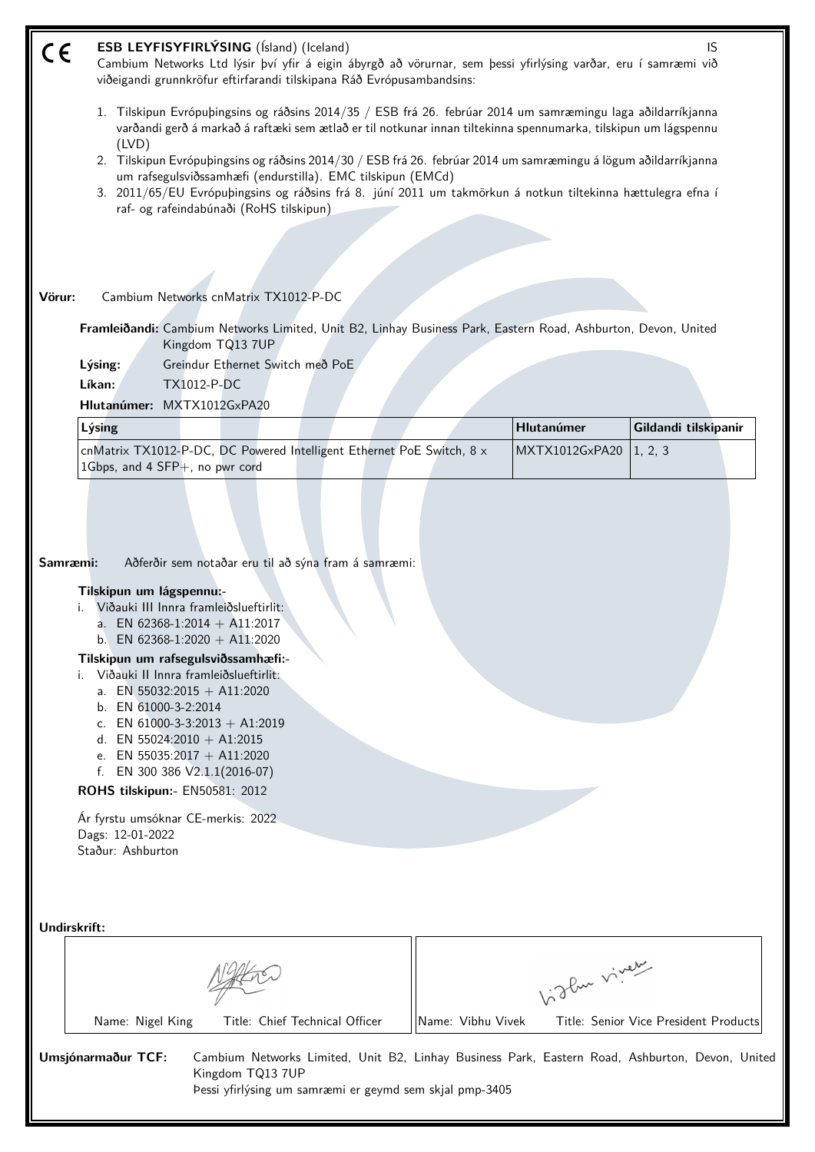| CE     | ESB LEYFISYFIRLÝSING (Ísland) (Iceland)<br>IS<br>Cambium Networks Ltd lýsir því yfir á eigin ábyrgð að vörurnar, sem þessi yfirlýsing varðar, eru í samræmi við<br>viðeigandi grunnkröfur eftirfarandi tilskipana Ráð Evrópusambandsins:                                                                                                                                                                                                                                                                                                                                                               |  |                   |                              |                                       |  |
|--------|--------------------------------------------------------------------------------------------------------------------------------------------------------------------------------------------------------------------------------------------------------------------------------------------------------------------------------------------------------------------------------------------------------------------------------------------------------------------------------------------------------------------------------------------------------------------------------------------------------|--|-------------------|------------------------------|---------------------------------------|--|
|        | 1. Tilskipun Evrópuþingsins og ráðsins 2014/35 / ESB frá 26. febrúar 2014 um samræmingu laga aðildarríkjanna<br>varðandi gerð á markað á raftæki sem ætlað er til notkunar innan tiltekinna spennumarka, tilskipun um lágspennu<br>(IVD)<br>2. Tilskipun Evrópuþingsins og ráðsins 2014/30 / ESB frá 26. febrúar 2014 um samræmingu á lögum aðildarríkjanna<br>um rafsegulsviðssamhæfi (endurstilla). EMC tilskipun (EMCd)<br>3. 2011/65/EU Evrópubingsins og ráðsins frá 8. júní 2011 um takmörkun á notkun tiltekinna hættulegra efna í<br>raf- og rafeindabúnaði (RoHS tilskipun)                   |  |                   |                              |                                       |  |
|        |                                                                                                                                                                                                                                                                                                                                                                                                                                                                                                                                                                                                        |  |                   |                              |                                       |  |
| Vörur: | Cambium Networks cnMatrix TX1012-P-DC                                                                                                                                                                                                                                                                                                                                                                                                                                                                                                                                                                  |  |                   |                              |                                       |  |
|        | Framleiðandi: Cambium Networks Limited, Unit B2, Linhay Business Park, Eastern Road, Ashburton, Devon, United<br>Kingdom TQ13 7UP                                                                                                                                                                                                                                                                                                                                                                                                                                                                      |  |                   |                              |                                       |  |
|        | Lýsing:<br>Greindur Ethernet Switch með PoE                                                                                                                                                                                                                                                                                                                                                                                                                                                                                                                                                            |  |                   |                              |                                       |  |
|        | Líkan:<br>TX1012-P-DC                                                                                                                                                                                                                                                                                                                                                                                                                                                                                                                                                                                  |  |                   |                              |                                       |  |
|        | Hlutanúmer: MXTX1012GxPA20                                                                                                                                                                                                                                                                                                                                                                                                                                                                                                                                                                             |  |                   |                              |                                       |  |
|        | Lýsing<br>cnMatrix TX1012-P-DC, DC Powered Intelligent Ethernet PoE Switch, 8 x                                                                                                                                                                                                                                                                                                                                                                                                                                                                                                                        |  |                   | Hlutanúmer<br>MXTX1012GxPA20 | Gildandi tilskipanir<br>1, 2, 3       |  |
|        | 1Gbps, and 4 SFP+, no pwr cord                                                                                                                                                                                                                                                                                                                                                                                                                                                                                                                                                                         |  |                   |                              |                                       |  |
|        | Aðferðir sem notaðar eru til að sýna fram á samræmi:<br>Samræmi:<br>Tilskipun um lágspennu:-<br>Viðauki III Innra framleiðslueftirlit:<br>a. EN 62368-1:2014 + A11:2017<br>b. EN 62368-1:2020 + A11:2020<br>Tilskipun um rafsegulsviðssamhæfi:-<br>i. Viðauki II Innra framleiðslueftirlit:<br>a. EN 55032:2015 + A11:2020<br>b. EN 61000-3-2:2014<br>c. EN 61000-3-3:2013 + A1:2019<br>d. EN 55024:2010 + A1:2015<br>e. EN 55035:2017 + A11:2020<br>EN 300 386 V2.1.1(2016-07)<br>f.<br>ROHS tilskipun:- EN50581: 2012<br>Ár fyrstu umsóknar CE-merkis: 2022<br>Dags: 12-01-2022<br>Staður: Ashburton |  |                   |                              |                                       |  |
|        | Undirskrift:                                                                                                                                                                                                                                                                                                                                                                                                                                                                                                                                                                                           |  |                   |                              |                                       |  |
|        |                                                                                                                                                                                                                                                                                                                                                                                                                                                                                                                                                                                                        |  |                   | Vidley vivey                 |                                       |  |
|        | Title: Chief Technical Officer<br>Name: Nigel King                                                                                                                                                                                                                                                                                                                                                                                                                                                                                                                                                     |  | Name: Vibhu Vivek |                              | Title: Senior Vice President Products |  |
|        | Umsjónarmaður TCF:<br>Cambium Networks Limited, Unit B2, Linhay Business Park, Eastern Road, Ashburton, Devon, United<br>Kingdom TQ13 7UP<br>Þessi yfirlýsing um samræmi er geymd sem skjal pmp-3405                                                                                                                                                                                                                                                                                                                                                                                                   |  |                   |                              |                                       |  |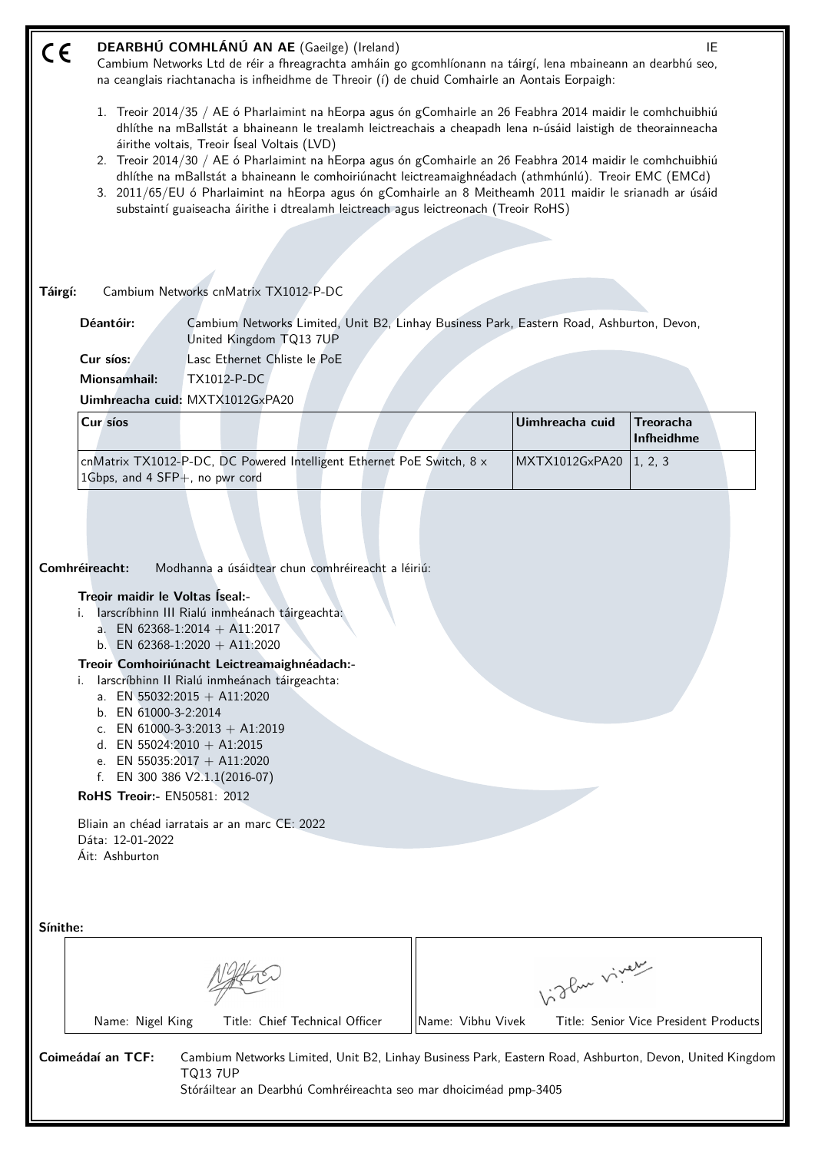| C€       |                                                                                                                                                                                                                                                                                                                                                                                                                           |                                                                                                                              |                   | DEARBHÚ COMHLÁNÚ AN AE (Gaeilge) (Ireland)<br>IE<br>Cambium Networks Ltd de réir a fhreagrachta amháin go gcomhlíonann na táirgí, lena mbaineann an dearbhú seo,<br>na ceanglais riachtanacha is infheidhme de Threoir (í) de chuid Comhairle an Aontais Eorpaigh: |                                       |  |  |  |
|----------|---------------------------------------------------------------------------------------------------------------------------------------------------------------------------------------------------------------------------------------------------------------------------------------------------------------------------------------------------------------------------------------------------------------------------|------------------------------------------------------------------------------------------------------------------------------|-------------------|--------------------------------------------------------------------------------------------------------------------------------------------------------------------------------------------------------------------------------------------------------------------|---------------------------------------|--|--|--|
|          | 1. Treoir 2014/35 / AE ó Pharlaimint na hEorpa agus ón gComhairle an 26 Feabhra 2014 maidir le comhchuibhiú<br>dhlíthe na mBallstát a bhaineann le trealamh leictreachais a cheapadh lena n-úsáid laistigh de theorainneacha<br>áirithe voltais, Treoir Iseal Voltais (LVD)                                                                                                                                               |                                                                                                                              |                   |                                                                                                                                                                                                                                                                    |                                       |  |  |  |
|          | 2. Treoir 2014/30 / AE ó Pharlaimint na hEorpa agus ón gComhairle an 26 Feabhra 2014 maidir le comhchuibhiú<br>dhlíthe na mBallstát a bhaineann le comhoiriúnacht leictreamaighnéadach (athmhúnlú). Treoir EMC (EMCd)<br>3. 2011/65/EU ó Pharlaimint na hEorpa agus ón gComhairle an 8 Meitheamh 2011 maidir le srianadh ar úsáid<br>substaintí guaiseacha áirithe i dtrealamh leictreach agus leictreonach (Treoir RoHS) |                                                                                                                              |                   |                                                                                                                                                                                                                                                                    |                                       |  |  |  |
|          |                                                                                                                                                                                                                                                                                                                                                                                                                           |                                                                                                                              |                   |                                                                                                                                                                                                                                                                    |                                       |  |  |  |
|          |                                                                                                                                                                                                                                                                                                                                                                                                                           |                                                                                                                              |                   |                                                                                                                                                                                                                                                                    |                                       |  |  |  |
| Táirgí:  |                                                                                                                                                                                                                                                                                                                                                                                                                           | Cambium Networks cnMatrix TX1012-P-DC                                                                                        |                   |                                                                                                                                                                                                                                                                    |                                       |  |  |  |
|          |                                                                                                                                                                                                                                                                                                                                                                                                                           |                                                                                                                              |                   |                                                                                                                                                                                                                                                                    |                                       |  |  |  |
|          | Déantóir:                                                                                                                                                                                                                                                                                                                                                                                                                 | Cambium Networks Limited, Unit B2, Linhay Business Park, Eastern Road, Ashburton, Devon,<br>United Kingdom TQ13 7UP          |                   |                                                                                                                                                                                                                                                                    |                                       |  |  |  |
|          | Cur síos:                                                                                                                                                                                                                                                                                                                                                                                                                 | Lasc Ethernet Chliste le PoE                                                                                                 |                   |                                                                                                                                                                                                                                                                    |                                       |  |  |  |
|          | <b>Mionsamhail:</b>                                                                                                                                                                                                                                                                                                                                                                                                       | TX1012-P-DC                                                                                                                  |                   |                                                                                                                                                                                                                                                                    |                                       |  |  |  |
|          |                                                                                                                                                                                                                                                                                                                                                                                                                           | Uimhreacha cuid: MXTX1012GxPA20                                                                                              |                   |                                                                                                                                                                                                                                                                    |                                       |  |  |  |
|          | Cur síos                                                                                                                                                                                                                                                                                                                                                                                                                  |                                                                                                                              |                   | Uimhreacha cuid                                                                                                                                                                                                                                                    | <b>Treoracha</b><br>Infheidhme        |  |  |  |
|          | 1Gbps, and 4 SFP+, no pwr cord                                                                                                                                                                                                                                                                                                                                                                                            | cnMatrix TX1012-P-DC, DC Powered Intelligent Ethernet PoE Switch, 8 x                                                        |                   | MXTX1012GxPA20                                                                                                                                                                                                                                                     | 1, 2, 3                               |  |  |  |
|          |                                                                                                                                                                                                                                                                                                                                                                                                                           |                                                                                                                              |                   |                                                                                                                                                                                                                                                                    |                                       |  |  |  |
|          | Comhréireacht:                                                                                                                                                                                                                                                                                                                                                                                                            | Modhanna a úsáidtear chun comhréireacht a léiriú:                                                                            |                   |                                                                                                                                                                                                                                                                    |                                       |  |  |  |
|          | Treoir maidir le Voltas Iseal:-                                                                                                                                                                                                                                                                                                                                                                                           |                                                                                                                              |                   |                                                                                                                                                                                                                                                                    |                                       |  |  |  |
|          | i.                                                                                                                                                                                                                                                                                                                                                                                                                        | larscríbhinn III Rialú inmheánach táirgeachta:<br>a. EN 62368-1:2014 + A11:2017                                              |                   |                                                                                                                                                                                                                                                                    |                                       |  |  |  |
|          |                                                                                                                                                                                                                                                                                                                                                                                                                           | b. EN 62368-1:2020 + A11:2020                                                                                                |                   |                                                                                                                                                                                                                                                                    |                                       |  |  |  |
|          | i.                                                                                                                                                                                                                                                                                                                                                                                                                        | Treoir Comhoiriúnacht Leictreamaighnéadach:-<br>larscríbhinn II Rialú inmheánach táirgeachta:<br>a. EN 55032:2015 + A11:2020 |                   |                                                                                                                                                                                                                                                                    |                                       |  |  |  |
|          | b. EN 61000-3-2:2014                                                                                                                                                                                                                                                                                                                                                                                                      |                                                                                                                              |                   |                                                                                                                                                                                                                                                                    |                                       |  |  |  |
|          |                                                                                                                                                                                                                                                                                                                                                                                                                           | c. EN 61000-3-3:2013 + A1:2019                                                                                               |                   |                                                                                                                                                                                                                                                                    |                                       |  |  |  |
|          | d. EN 55024:2010 + A1:2015                                                                                                                                                                                                                                                                                                                                                                                                | e. EN 55035:2017 + A11:2020                                                                                                  |                   |                                                                                                                                                                                                                                                                    |                                       |  |  |  |
|          |                                                                                                                                                                                                                                                                                                                                                                                                                           | f. EN 300 386 V2.1.1(2016-07)                                                                                                |                   |                                                                                                                                                                                                                                                                    |                                       |  |  |  |
|          | RoHS Treoir:- EN50581: 2012                                                                                                                                                                                                                                                                                                                                                                                               |                                                                                                                              |                   |                                                                                                                                                                                                                                                                    |                                       |  |  |  |
|          | Dáta: 12-01-2022                                                                                                                                                                                                                                                                                                                                                                                                          | Bliain an chéad iarratais ar an marc CE: 2022                                                                                |                   |                                                                                                                                                                                                                                                                    |                                       |  |  |  |
|          | Áit: Ashburton                                                                                                                                                                                                                                                                                                                                                                                                            |                                                                                                                              |                   |                                                                                                                                                                                                                                                                    |                                       |  |  |  |
|          |                                                                                                                                                                                                                                                                                                                                                                                                                           |                                                                                                                              |                   |                                                                                                                                                                                                                                                                    |                                       |  |  |  |
| Sínithe: |                                                                                                                                                                                                                                                                                                                                                                                                                           |                                                                                                                              |                   |                                                                                                                                                                                                                                                                    |                                       |  |  |  |
|          |                                                                                                                                                                                                                                                                                                                                                                                                                           |                                                                                                                              |                   |                                                                                                                                                                                                                                                                    |                                       |  |  |  |
|          |                                                                                                                                                                                                                                                                                                                                                                                                                           |                                                                                                                              |                   | birthe vivey                                                                                                                                                                                                                                                       |                                       |  |  |  |
|          | Name: Nigel King                                                                                                                                                                                                                                                                                                                                                                                                          | Title: Chief Technical Officer                                                                                               | Name: Vibhu Vivek |                                                                                                                                                                                                                                                                    | Title: Senior Vice President Products |  |  |  |
|          | Coimeádaí an TCF:                                                                                                                                                                                                                                                                                                                                                                                                         | Cambium Networks Limited, Unit B2, Linhay Business Park, Eastern Road, Ashburton, Devon, United Kingdom                      |                   |                                                                                                                                                                                                                                                                    |                                       |  |  |  |
|          |                                                                                                                                                                                                                                                                                                                                                                                                                           | <b>TQ13 7UP</b><br>Stóráiltear an Dearbhú Comhréireachta seo mar dhoiciméad pmp-3405                                         |                   |                                                                                                                                                                                                                                                                    |                                       |  |  |  |
|          |                                                                                                                                                                                                                                                                                                                                                                                                                           |                                                                                                                              |                   |                                                                                                                                                                                                                                                                    |                                       |  |  |  |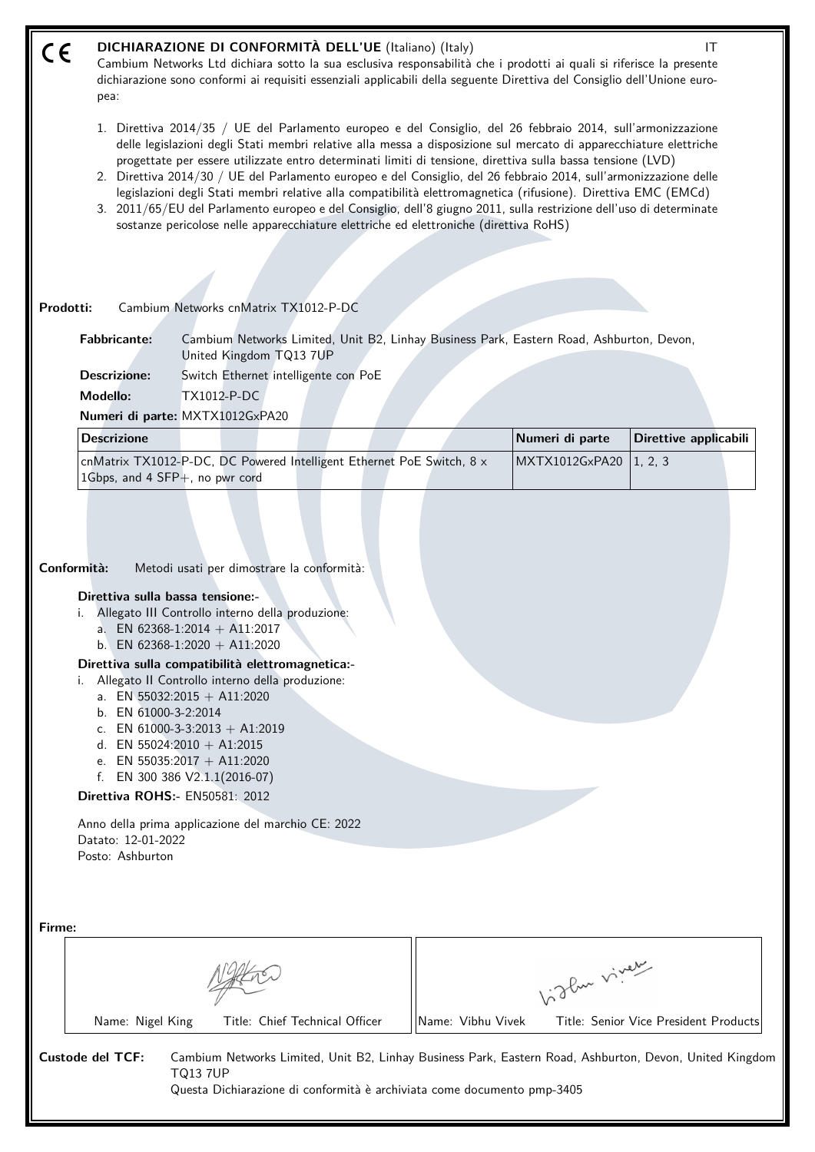| DICHIARAZIONE DI CONFORMITÀ DELL'UE (Italiano) (Italy)<br>IT<br>CE<br>Cambium Networks Ltd dichiara sotto la sua esclusiva responsabilità che i prodotti ai quali si riferisce la presente<br>dichiarazione sono conformi ai requisiti essenziali applicabili della seguente Direttiva del Consiglio dell'Unione euro-<br>pea: |                                                                                                                                                                                                                                                                                                                                                                                                                                                                                                                                                                                                                                                                                                                                                                                                         |                                                                                                                                                                                                                         |                 |                       |  |  |
|--------------------------------------------------------------------------------------------------------------------------------------------------------------------------------------------------------------------------------------------------------------------------------------------------------------------------------|---------------------------------------------------------------------------------------------------------------------------------------------------------------------------------------------------------------------------------------------------------------------------------------------------------------------------------------------------------------------------------------------------------------------------------------------------------------------------------------------------------------------------------------------------------------------------------------------------------------------------------------------------------------------------------------------------------------------------------------------------------------------------------------------------------|-------------------------------------------------------------------------------------------------------------------------------------------------------------------------------------------------------------------------|-----------------|-----------------------|--|--|
|                                                                                                                                                                                                                                                                                                                                | 1. Direttiva 2014/35 / UE del Parlamento europeo e del Consiglio, del 26 febbraio 2014, sull'armonizzazione<br>delle legislazioni degli Stati membri relative alla messa a disposizione sul mercato di apparecchiature elettriche<br>progettate per essere utilizzate entro determinati limiti di tensione, direttiva sulla bassa tensione (LVD)<br>2. Direttiva 2014/30 / UE del Parlamento europeo e del Consiglio, del 26 febbraio 2014, sull'armonizzazione delle<br>legislazioni degli Stati membri relative alla compatibilità elettromagnetica (rifusione). Direttiva EMC (EMCd)<br>3. 2011/65/EU del Parlamento europeo e del Consiglio, dell'8 giugno 2011, sulla restrizione dell'uso di determinate<br>sostanze pericolose nelle apparecchiature elettriche ed elettroniche (direttiva RoHS) |                                                                                                                                                                                                                         |                 |                       |  |  |
| Prodotti:                                                                                                                                                                                                                                                                                                                      |                                                                                                                                                                                                                                                                                                                                                                                                                                                                                                                                                                                                                                                                                                                                                                                                         | Cambium Networks cnMatrix TX1012-P-DC                                                                                                                                                                                   |                 |                       |  |  |
| <b>Fabbricante:</b><br>Cambium Networks Limited, Unit B2, Linhay Business Park, Eastern Road, Ashburton, Devon,<br>United Kingdom TQ13 7UP<br><b>Descrizione:</b><br>Switch Ethernet intelligente con PoE<br>Modello:<br>TX1012-P-DC<br>Numeri di parte: MXTX1012GxPA20                                                        |                                                                                                                                                                                                                                                                                                                                                                                                                                                                                                                                                                                                                                                                                                                                                                                                         |                                                                                                                                                                                                                         |                 |                       |  |  |
|                                                                                                                                                                                                                                                                                                                                | <b>Descrizione</b>                                                                                                                                                                                                                                                                                                                                                                                                                                                                                                                                                                                                                                                                                                                                                                                      |                                                                                                                                                                                                                         | Numeri di parte | Direttive applicabili |  |  |
|                                                                                                                                                                                                                                                                                                                                | 1Gbps, and 4 SFP+, no pwr cord                                                                                                                                                                                                                                                                                                                                                                                                                                                                                                                                                                                                                                                                                                                                                                          | cnMatrix TX1012-P-DC, DC Powered Intelligent Ethernet PoE Switch, 8 x                                                                                                                                                   | MXTX1012GxPA20  | 1, 2, 3               |  |  |
| Conformità:                                                                                                                                                                                                                                                                                                                    | Direttiva sulla bassa tensione:-                                                                                                                                                                                                                                                                                                                                                                                                                                                                                                                                                                                                                                                                                                                                                                        | Metodi usati per dimostrare la conformità:<br>i. Allegato III Controllo interno della produzione:<br>a. EN 62368-1:2014 + A11:2017<br>b. EN 62368-1:2020 + A11:2020<br>Direttiva sulla compatibilità elettromagnetica:- |                 |                       |  |  |
|                                                                                                                                                                                                                                                                                                                                |                                                                                                                                                                                                                                                                                                                                                                                                                                                                                                                                                                                                                                                                                                                                                                                                         |                                                                                                                                                                                                                         |                 |                       |  |  |

- i. Allegato II Controllo interno della produzione:
	- a. EN 55032:2015 + A11:2020
	- b. EN 61000-3-2:2014
	- c. EN  $61000-3-3:2013 + A1:2019$
	- d. EN 55024:2010 + A1:2015
	- e. EN 55035:2017 + A11:2020
	- f. EN 300 386 V2.1.1(2016-07)

**Direttiva ROHS:-** EN50581: 2012

Anno della prima applicazione del marchio CE: 2022 Datato: 12-01-2022 Posto: Ashburton

| Firme:           |                  |                |                                                                         |                   |                                                                                                         |
|------------------|------------------|----------------|-------------------------------------------------------------------------|-------------------|---------------------------------------------------------------------------------------------------------|
|                  |                  |                | 1:3 Pur viver                                                           |                   |                                                                                                         |
|                  | Name: Nigel King |                | Title: Chief Technical Officer                                          | Name: Vibhu Vivek | Title: Senior Vice President Products                                                                   |
| Custode del TCF: |                  | <b>TQ137UP</b> | Questa Dichiarazione di conformità è archiviata come documento pmp-3405 |                   | Cambium Networks Limited, Unit B2, Linhay Business Park, Eastern Road, Ashburton, Devon, United Kingdom |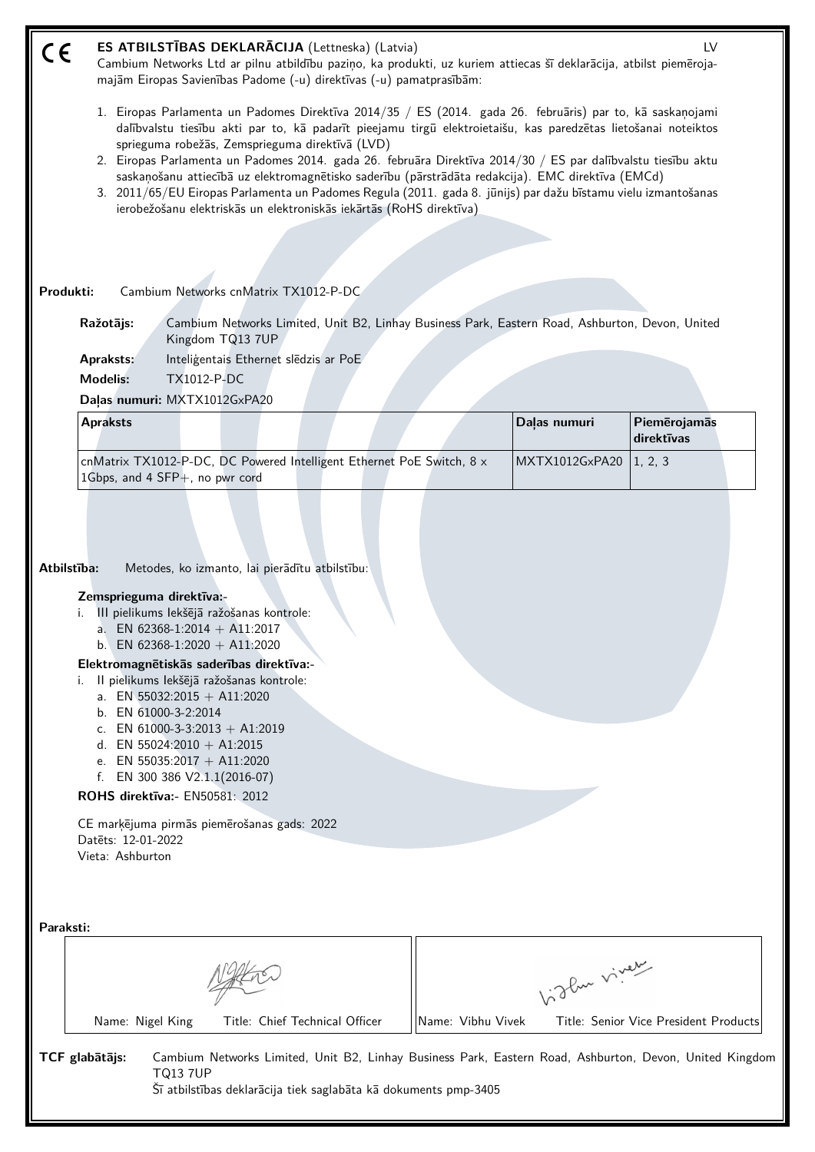| CE        | ES ATBILSTĪBAS DEKLARĀCIJA (Lettneska) (Latvia)<br>Cambium Networks Ltd ar pilnu atbildību paziņo, ka produkti, uz kuriem attiecas šī deklarācija, atbilst piemēroja-<br>majām Eiropas Savienības Padome (-u) direktīvas (-u) pamatprasībām:                                                                                                                                                                                                                                                                                                                                                                                                                                                |                   |                                       | LV |
|-----------|---------------------------------------------------------------------------------------------------------------------------------------------------------------------------------------------------------------------------------------------------------------------------------------------------------------------------------------------------------------------------------------------------------------------------------------------------------------------------------------------------------------------------------------------------------------------------------------------------------------------------------------------------------------------------------------------|-------------------|---------------------------------------|----|
|           | 1. Eiropas Parlamenta un Padomes Direktīva 2014/35 / ES (2014. gada 26. februāris) par to, kā saskaņojami<br>dalībvalstu tiesību akti par to, kā padarīt pieejamu tirgū elektroietaišu, kas paredzētas lietošanai noteiktos<br>sprieguma robežās, Zemsprieguma direktīvā (LVD)<br>2. Eiropas Parlamenta un Padomes 2014. gada 26. februāra Direktīva 2014/30 / ES par dalībvalstu tiesību aktu<br>saskaņošanu attiecībā uz elektromagnētisko saderību (pārstrādāta redakcija). EMC direktīva (EMCd)<br>3. 2011/65/EU Eiropas Parlamenta un Padomes Regula (2011. gada 8. jūnijs) par dažu bīstamu vielu izmantošanas<br>ierobežošanu elektriskās un elektroniskās iekārtās (RoHS direktīva) |                   |                                       |    |
|           |                                                                                                                                                                                                                                                                                                                                                                                                                                                                                                                                                                                                                                                                                             |                   |                                       |    |
| Produkti: | Cambium Networks cnMatrix TX1012-P-DC                                                                                                                                                                                                                                                                                                                                                                                                                                                                                                                                                                                                                                                       |                   |                                       |    |
|           | Cambium Networks Limited, Unit B2, Linhay Business Park, Eastern Road, Ashburton, Devon, United<br>Ražotājs:<br>Kingdom TQ13 7UP                                                                                                                                                                                                                                                                                                                                                                                                                                                                                                                                                            |                   |                                       |    |
|           | Inteligentais Ethernet sledzis ar PoE<br>Apraksts:                                                                                                                                                                                                                                                                                                                                                                                                                                                                                                                                                                                                                                          |                   |                                       |    |
|           | <b>Modelis:</b><br>TX1012-P-DC                                                                                                                                                                                                                                                                                                                                                                                                                                                                                                                                                                                                                                                              |                   |                                       |    |
|           | Daļas numuri: MXTX1012GxPA20                                                                                                                                                                                                                                                                                                                                                                                                                                                                                                                                                                                                                                                                |                   |                                       |    |
|           | <b>Apraksts</b>                                                                                                                                                                                                                                                                                                                                                                                                                                                                                                                                                                                                                                                                             | Daļas numuri      | Piemērojamās<br>direktīvas            |    |
|           | cnMatrix TX1012-P-DC, DC Powered Intelligent Ethernet PoE Switch, 8 x<br>1Gbps, and 4 SFP+, no pwr cord                                                                                                                                                                                                                                                                                                                                                                                                                                                                                                                                                                                     |                   | MXTX1012GxPA20<br>1, 2, 3             |    |
|           | Atbilstība:<br>Metodes, ko izmanto, lai pierādītu atbilstību:<br>Zemsprieguma direktīva:-<br>III pielikums lekšējā ražošanas kontrole:<br>a. EN 62368-1:2014 + A11:2017<br>b. EN 62368-1:2020 + A11:2020<br>Elektromagnētiskās saderības direktīva:-<br>II pielikums lekšējā ražošanas kontrole:<br>i.<br>a. EN 55032:2015 + A11:2020<br>b. EN 61000-3-2:2014<br>c. EN 61000-3-3:2013 + A1:2019<br>d. EN 55024:2010 + A1:2015<br>e. EN 55035:2017 + A11:2020<br>f. EN 300 386 V2.1.1(2016-07)<br><b>ROHS direktīva:</b> - EN50581: 2012<br>CE marķējuma pirmās piemērošanas gads: 2022<br>Datets: 12-01-2022<br>Vieta: Ashburton                                                            |                   |                                       |    |
| Paraksti: |                                                                                                                                                                                                                                                                                                                                                                                                                                                                                                                                                                                                                                                                                             |                   | Vidley viney                          |    |
|           | Name: Nigel King<br>Title: Chief Technical Officer                                                                                                                                                                                                                                                                                                                                                                                                                                                                                                                                                                                                                                          | Name: Vibhu Vivek | Title: Senior Vice President Products |    |
|           | TCF glabātājs:<br>Cambium Networks Limited, Unit B2, Linhay Business Park, Eastern Road, Ashburton, Devon, United Kingdom<br><b>TQ13 7UP</b><br>Šī atbilstības deklarācija tiek saglabāta kā dokuments pmp-3405                                                                                                                                                                                                                                                                                                                                                                                                                                                                             |                   |                                       |    |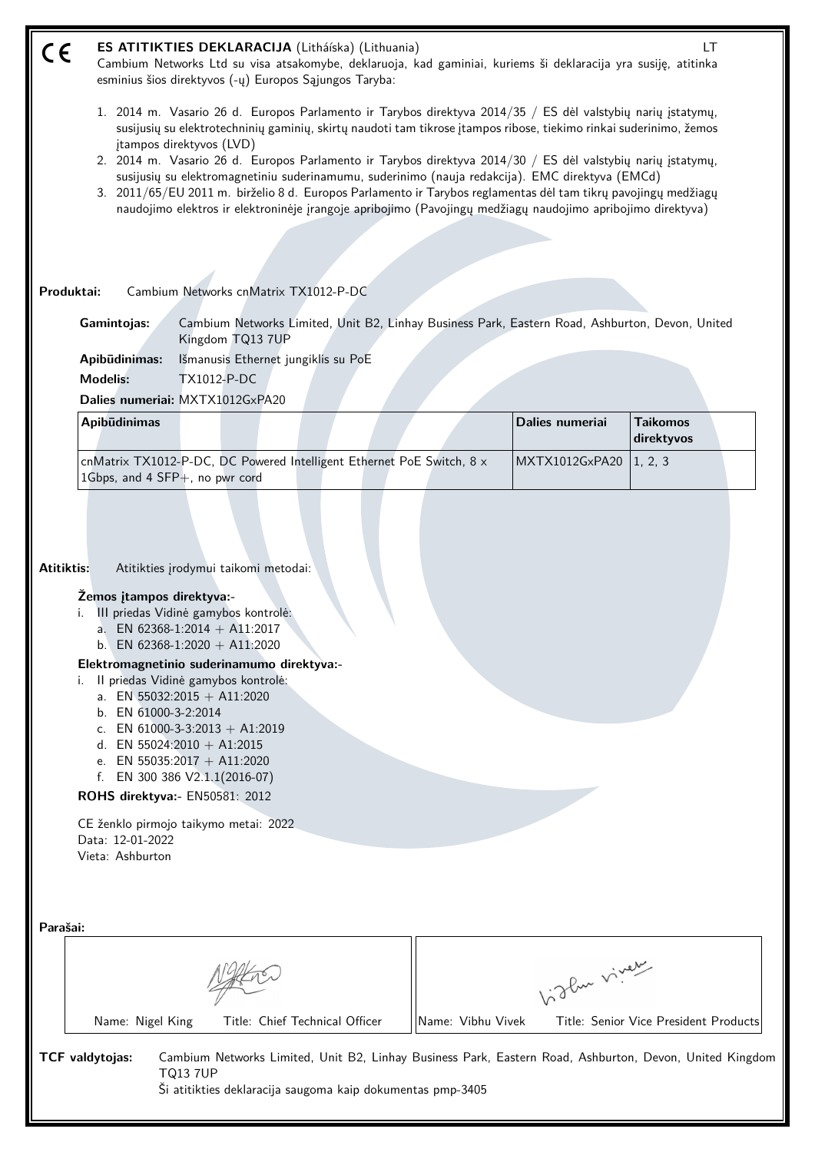| $\epsilon$ |                                                                                                                                                                                                                                                                                                                                                                                                                                                                                                                                                                                                                                                                                                                  |                                                                                                                                                                                                                                                                                                                                                                                                                                             | ES ATITIKTIES DEKLARACIJA (Litháíska) (Lithuania)<br>Cambium Networks Ltd su visa atsakomybe, deklaruoja, kad gaminiai, kuriems ši deklaracija yra susiję, atitinka<br>esminius šios direktyvos (-ų) Europos Sąjungos Taryba: |                   |                 | LT                                                                                                      |  |
|------------|------------------------------------------------------------------------------------------------------------------------------------------------------------------------------------------------------------------------------------------------------------------------------------------------------------------------------------------------------------------------------------------------------------------------------------------------------------------------------------------------------------------------------------------------------------------------------------------------------------------------------------------------------------------------------------------------------------------|---------------------------------------------------------------------------------------------------------------------------------------------------------------------------------------------------------------------------------------------------------------------------------------------------------------------------------------------------------------------------------------------------------------------------------------------|-------------------------------------------------------------------------------------------------------------------------------------------------------------------------------------------------------------------------------|-------------------|-----------------|---------------------------------------------------------------------------------------------------------|--|
|            | 1. 2014 m. Vasario 26 d. Europos Parlamento ir Tarybos direktyva 2014/35 / ES dėl valstybių narių įstatymų,<br>susijusių su elektrotechninių gaminių, skirtų naudoti tam tikrose įtampos ribose, tiekimo rinkai suderinimo, žemos<br>įtampos direktyvos (LVD)<br>2. 2014 m. Vasario 26 d. Europos Parlamento ir Tarybos direktyva 2014/30 / ES dėl valstybių narių įstatymų,<br>susijusių su elektromagnetiniu suderinamumu, suderinimo (nauja redakcija). EMC direktyva (EMCd)<br>3. 2011/65/EU 2011 m. birželio 8 d. Europos Parlamento ir Tarybos reglamentas dėl tam tikrų pavojingų medžiagų<br>naudojimo elektros ir elektroninėje įrangoje apribojimo (Pavojingų medžiagų naudojimo apribojimo direktyva) |                                                                                                                                                                                                                                                                                                                                                                                                                                             |                                                                                                                                                                                                                               |                   |                 |                                                                                                         |  |
|            | Produktai:                                                                                                                                                                                                                                                                                                                                                                                                                                                                                                                                                                                                                                                                                                       | Cambium Networks cnMatrix TX1012-P-DC                                                                                                                                                                                                                                                                                                                                                                                                       |                                                                                                                                                                                                                               |                   |                 |                                                                                                         |  |
|            | Gamintojas:                                                                                                                                                                                                                                                                                                                                                                                                                                                                                                                                                                                                                                                                                                      | Kingdom TQ13 7UP                                                                                                                                                                                                                                                                                                                                                                                                                            | Cambium Networks Limited, Unit B2, Linhay Business Park, Eastern Road, Ashburton, Devon, United                                                                                                                               |                   |                 |                                                                                                         |  |
|            | Apibūdinimas:                                                                                                                                                                                                                                                                                                                                                                                                                                                                                                                                                                                                                                                                                                    | Išmanusis Ethernet jungiklis su PoE                                                                                                                                                                                                                                                                                                                                                                                                         |                                                                                                                                                                                                                               |                   |                 |                                                                                                         |  |
|            | <b>Modelis:</b>                                                                                                                                                                                                                                                                                                                                                                                                                                                                                                                                                                                                                                                                                                  | <b>TX1012-P-DC</b>                                                                                                                                                                                                                                                                                                                                                                                                                          |                                                                                                                                                                                                                               |                   |                 |                                                                                                         |  |
|            |                                                                                                                                                                                                                                                                                                                                                                                                                                                                                                                                                                                                                                                                                                                  | Dalies numeriai: MXTX1012GxPA20                                                                                                                                                                                                                                                                                                                                                                                                             |                                                                                                                                                                                                                               |                   |                 |                                                                                                         |  |
|            | Apibūdinimas                                                                                                                                                                                                                                                                                                                                                                                                                                                                                                                                                                                                                                                                                                     |                                                                                                                                                                                                                                                                                                                                                                                                                                             |                                                                                                                                                                                                                               |                   | Dalies numeriai | <b>Taikomos</b><br>direktyvos                                                                           |  |
|            | 1Gbps, and 4 SFP+, no pwr cord                                                                                                                                                                                                                                                                                                                                                                                                                                                                                                                                                                                                                                                                                   |                                                                                                                                                                                                                                                                                                                                                                                                                                             | cnMatrix TX1012-P-DC, DC Powered Intelligent Ethernet PoE Switch, 8 x                                                                                                                                                         |                   | MXTX1012GxPA20  | 1, 2, 3                                                                                                 |  |
| Atitiktis: | Žemos įtampos direktyva:-<br>i.<br>i.<br>b. EN 61000-3-2:2014<br>ROHS direktyva:- EN50581: 2012<br>Data: 12-01-2022<br>Vieta: Ashburton                                                                                                                                                                                                                                                                                                                                                                                                                                                                                                                                                                          | Atitikties įrodymui taikomi metodai:<br>III priedas Vidinė gamybos kontrolė:<br>a. EN 62368-1:2014 + A11:2017<br>b. EN 62368-1:2020 + A11:2020<br>Elektromagnetinio suderinamumo direktyva:-<br>Il priedas Vidinė gamybos kontrolė:<br>a. EN 55032:2015 + A11:2020<br>c. EN 61000-3-3:2013 + A1:2019<br>d. EN 55024:2010 + A1:2015<br>e. EN 55035:2017 + A11:2020<br>f. EN 300 386 V2.1.1(2016-07)<br>CE ženklo pirmojo taikymo metai: 2022 |                                                                                                                                                                                                                               |                   |                 |                                                                                                         |  |
| Parašai:   |                                                                                                                                                                                                                                                                                                                                                                                                                                                                                                                                                                                                                                                                                                                  |                                                                                                                                                                                                                                                                                                                                                                                                                                             |                                                                                                                                                                                                                               |                   |                 |                                                                                                         |  |
|            |                                                                                                                                                                                                                                                                                                                                                                                                                                                                                                                                                                                                                                                                                                                  |                                                                                                                                                                                                                                                                                                                                                                                                                                             |                                                                                                                                                                                                                               |                   | Like viney      |                                                                                                         |  |
|            | Name: Nigel King                                                                                                                                                                                                                                                                                                                                                                                                                                                                                                                                                                                                                                                                                                 |                                                                                                                                                                                                                                                                                                                                                                                                                                             | Title: Chief Technical Officer                                                                                                                                                                                                | Name: Vibhu Vivek |                 | Title: Senior Vice President Products                                                                   |  |
|            | TCF valdytojas:                                                                                                                                                                                                                                                                                                                                                                                                                                                                                                                                                                                                                                                                                                  | <b>TQ13 7UP</b>                                                                                                                                                                                                                                                                                                                                                                                                                             | Ši atitikties deklaracija saugoma kaip dokumentas pmp-3405                                                                                                                                                                    |                   |                 | Cambium Networks Limited, Unit B2, Linhay Business Park, Eastern Road, Ashburton, Devon, United Kingdom |  |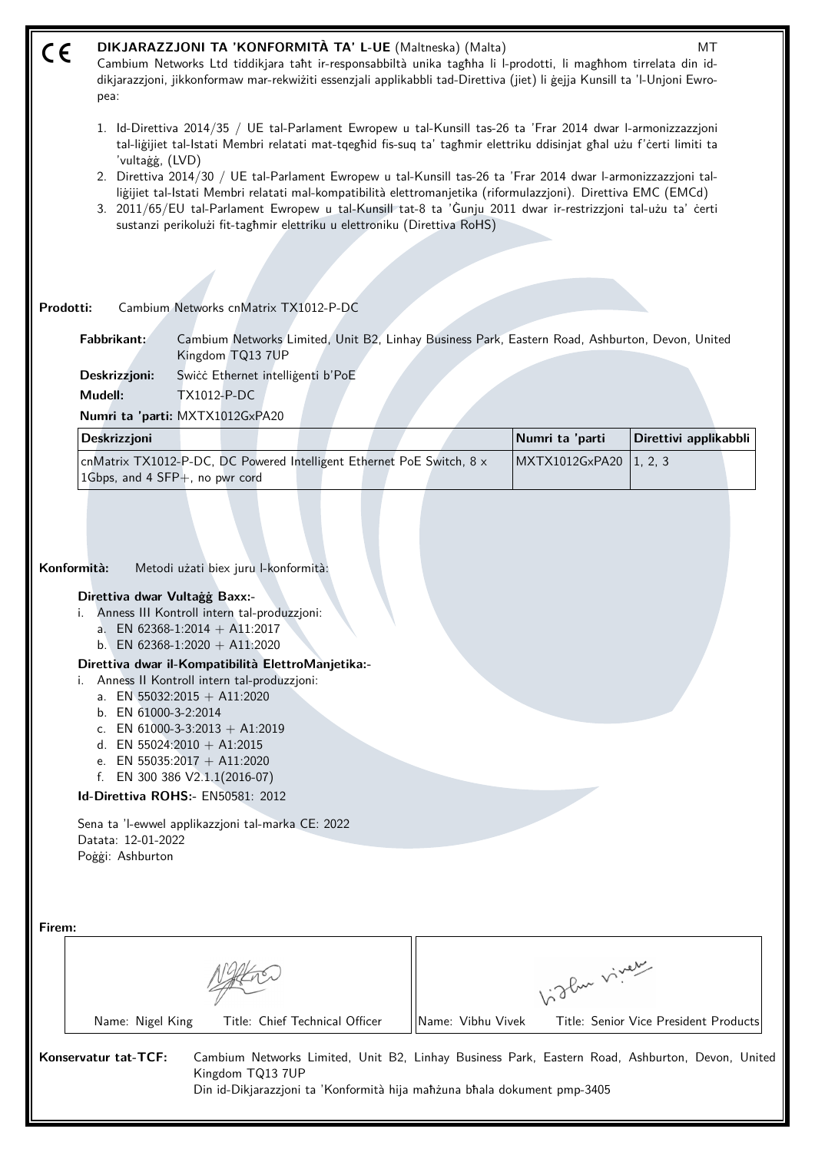| CE     | DIKJARAZZJONI TA 'KONFORMITÀ TA' L-UE (Maltneska) (Malta)<br>MT<br>Cambium Networks Ltd tiddikjara taht ir-responsabbiltà unika taghha li l-prodotti, li maghhom tirrelata din id-<br>dikjarazzjoni, jikkonformaw mar-rekwiżiti essenzjali applikabbli tad-Direttiva (jiet) li gejja Kunsill ta 'l-Unjoni Ewro-<br>pea:                                                                                                                                                                                                                                                                                                                |                                                                          |                                                                          |                   |                                                                                                                                                                                                                                                                                                                                                   |                                                                                                 |
|--------|----------------------------------------------------------------------------------------------------------------------------------------------------------------------------------------------------------------------------------------------------------------------------------------------------------------------------------------------------------------------------------------------------------------------------------------------------------------------------------------------------------------------------------------------------------------------------------------------------------------------------------------|--------------------------------------------------------------------------|--------------------------------------------------------------------------|-------------------|---------------------------------------------------------------------------------------------------------------------------------------------------------------------------------------------------------------------------------------------------------------------------------------------------------------------------------------------------|-------------------------------------------------------------------------------------------------|
|        | 'vultaġġ, (LVD)                                                                                                                                                                                                                                                                                                                                                                                                                                                                                                                                                                                                                        |                                                                          |                                                                          |                   | 1. Id-Direttiva 2014/35 / UE tal-Parlament Ewropew u tal-Kunsill tas-26 ta 'Frar 2014 dwar l-armonizzazzjoni<br>tal-liğijiet tal-Istati Membri relatati mat-tqeghid fis-suq ta' taghmir elettriku ddisinjat ghal użu f'certi limiti ta                                                                                                            |                                                                                                 |
|        |                                                                                                                                                                                                                                                                                                                                                                                                                                                                                                                                                                                                                                        | sustanzi perikolużi fit-taghmir elettriku u elettroniku (Direttiva RoHS) |                                                                          |                   | 2. Direttiva 2014/30 / UE tal-Parlament Ewropew u tal-Kunsill tas-26 ta 'Frar 2014 dwar l-armonizzazzjoni tal-<br>liğijiet tal-Istati Membri relatati mal-kompatibilità elettromanjetika (riformulazzjoni). Direttiva EMC (EMCd)<br>3. 2011/65/EU tal-Parlament Ewropew u tal-Kunsill tat-8 ta 'Gunju 2011 dwar ir-restrizzjoni tal-użu ta' certi |                                                                                                 |
|        |                                                                                                                                                                                                                                                                                                                                                                                                                                                                                                                                                                                                                                        |                                                                          |                                                                          |                   |                                                                                                                                                                                                                                                                                                                                                   |                                                                                                 |
|        | Prodotti:                                                                                                                                                                                                                                                                                                                                                                                                                                                                                                                                                                                                                              | Cambium Networks cnMatrix TX1012-P-DC                                    |                                                                          |                   |                                                                                                                                                                                                                                                                                                                                                   |                                                                                                 |
|        | Fabbrikant:                                                                                                                                                                                                                                                                                                                                                                                                                                                                                                                                                                                                                            |                                                                          |                                                                          |                   |                                                                                                                                                                                                                                                                                                                                                   |                                                                                                 |
|        |                                                                                                                                                                                                                                                                                                                                                                                                                                                                                                                                                                                                                                        | Kingdom TQ13 7UP                                                         |                                                                          |                   | Cambium Networks Limited, Unit B2, Linhay Business Park, Eastern Road, Ashburton, Devon, United                                                                                                                                                                                                                                                   |                                                                                                 |
|        | Deskrizzjoni:                                                                                                                                                                                                                                                                                                                                                                                                                                                                                                                                                                                                                          | Swicc Ethernet intelligenti b'PoE                                        |                                                                          |                   |                                                                                                                                                                                                                                                                                                                                                   |                                                                                                 |
|        | Mudell:                                                                                                                                                                                                                                                                                                                                                                                                                                                                                                                                                                                                                                | <b>TX1012-P-DC</b><br>Numri ta 'parti: MXTX1012GxPA20                    |                                                                          |                   |                                                                                                                                                                                                                                                                                                                                                   |                                                                                                 |
|        | Deskrizzjoni                                                                                                                                                                                                                                                                                                                                                                                                                                                                                                                                                                                                                           |                                                                          |                                                                          |                   | Numri ta 'parti                                                                                                                                                                                                                                                                                                                                   | Direttivi applikabbli                                                                           |
|        |                                                                                                                                                                                                                                                                                                                                                                                                                                                                                                                                                                                                                                        | cnMatrix TX1012-P-DC, DC Powered Intelligent Ethernet PoE Switch, 8 x    |                                                                          |                   | MXTX1012GxPA20                                                                                                                                                                                                                                                                                                                                    | 1, 2, 3                                                                                         |
|        |                                                                                                                                                                                                                                                                                                                                                                                                                                                                                                                                                                                                                                        | 1Gbps, and 4 SFP+, no pwr cord                                           |                                                                          |                   |                                                                                                                                                                                                                                                                                                                                                   |                                                                                                 |
|        | Konformità:<br>Metodi użati biex juru l-konformità:<br>Direttiva dwar Vultagg Baxx:-<br>Anness III Kontroll intern tal-produzzjoni:<br>a. EN 62368-1:2014 + A11:2017<br>b. EN 62368-1:2020 + A11:2020<br>Direttiva dwar il-Kompatibilità ElettroManjetika:-<br>Anness II Kontroll intern tal-produzzjoni:<br>a. EN 55032:2015 + A11:2020<br>b. EN 61000-3-2:2014<br>c. EN 61000-3-3:2013 + A1:2019<br>d. EN 55024:2010 + A1:2015<br>e. EN 55035:2017 + A11:2020<br>f. EN 300 386 $V2.1.1(2016-07)$<br>Id-Direttiva ROHS:- EN50581: 2012<br>Sena ta 'l-ewwel applikazzjoni tal-marka CE: 2022<br>Datata: 12-01-2022<br>Poggi: Ashburton |                                                                          |                                                                          |                   |                                                                                                                                                                                                                                                                                                                                                   |                                                                                                 |
| Firem: |                                                                                                                                                                                                                                                                                                                                                                                                                                                                                                                                                                                                                                        |                                                                          |                                                                          |                   |                                                                                                                                                                                                                                                                                                                                                   |                                                                                                 |
|        |                                                                                                                                                                                                                                                                                                                                                                                                                                                                                                                                                                                                                                        |                                                                          |                                                                          |                   |                                                                                                                                                                                                                                                                                                                                                   |                                                                                                 |
|        |                                                                                                                                                                                                                                                                                                                                                                                                                                                                                                                                                                                                                                        |                                                                          |                                                                          |                   | higher viney                                                                                                                                                                                                                                                                                                                                      |                                                                                                 |
|        | Name: Nigel King                                                                                                                                                                                                                                                                                                                                                                                                                                                                                                                                                                                                                       |                                                                          | Title: Chief Technical Officer                                           | Name: Vibhu Vivek |                                                                                                                                                                                                                                                                                                                                                   | Title: Senior Vice President Products                                                           |
|        | Konservatur tat-TCF:                                                                                                                                                                                                                                                                                                                                                                                                                                                                                                                                                                                                                   | Kingdom TQ13 7UP                                                         | Din id-Dikjarazzjoni ta 'Konformità hija maħżuna bħala dokument pmp-3405 |                   |                                                                                                                                                                                                                                                                                                                                                   | Cambium Networks Limited, Unit B2, Linhay Business Park, Eastern Road, Ashburton, Devon, United |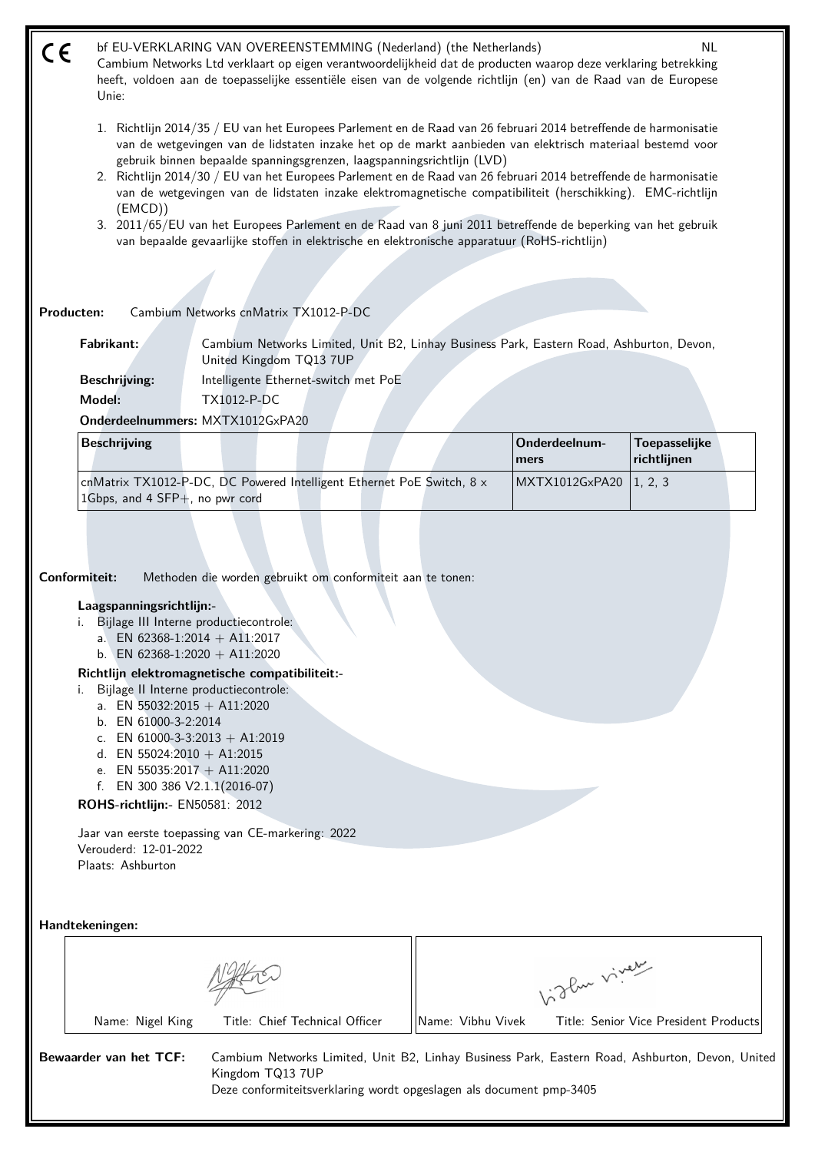bf EU-VERKLARING VAN OVEREENSTEMMING (Nederland) (the Netherlands) NL (  $\epsilon$ Cambium Networks Ltd verklaart op eigen verantwoordelijkheid dat de producten waarop deze verklaring betrekking heeft, voldoen aan de toepasselijke essentiële eisen van de volgende richtlijn (en) van de Raad van de Europese Unie:

- 1. Richtlijn 2014/35 / EU van het Europees Parlement en de Raad van 26 februari 2014 betreffende de harmonisatie van de wetgevingen van de lidstaten inzake het op de markt aanbieden van elektrisch materiaal bestemd voor gebruik binnen bepaalde spanningsgrenzen, laagspanningsrichtlijn (LVD)
- 2. Richtlijn 2014/30 / EU van het Europees Parlement en de Raad van 26 februari 2014 betreffende de harmonisatie van de wetgevingen van de lidstaten inzake elektromagnetische compatibiliteit (herschikking). EMC-richtlijn (EMCD))
- 3. 2011/65/EU van het Europees Parlement en de Raad van 8 juni 2011 betreffende de beperking van het gebruik van bepaalde gevaarlijke stoffen in elektrische en elektronische apparatuur (RoHS-richtlijn)

**Producten:** Cambium Networks cnMatrix TX1012-P-DC

**Fabrikant:** Cambium Networks Limited, Unit B2, Linhay Business Park, Eastern Road, Ashburton, Devon, United Kingdom TQ13 7UP

**Beschrijving:** Intelligente Ethernet-switch met PoE **Model:** TX1012-P-DC

**Onderdeelnummers:** MXTX1012GxPA20

| Beschrijving                                                                 |  | Onderdeelnum-<br><b>Imers</b> | Toepasselijke<br><i>richtliinen</i> |  |
|------------------------------------------------------------------------------|--|-------------------------------|-------------------------------------|--|
| cnMatrix TX1012-P-DC, DC Powered Intelligent Ethernet PoE Switch, $8 \times$ |  | MXTX1012GxPA20   1.2.3        |                                     |  |
| 1 Gbps, and 4 $SFP+$ , no pwr cord                                           |  |                               |                                     |  |

**Conformiteit:** Methoden die worden gebruikt om conformiteit aan te tonen:

## **Laagspanningsrichtlijn:-**

- i. Bijlage III Interne productiecontrole:
	- a. EN 62368-1:2014 + A11:2017
	- b. EN 62368-1:2020 + A11:2020

## **Richtlijn elektromagnetische compatibiliteit:-**

- i. Bijlage II Interne productiecontrole:
	- a. EN 55032:2015 + A11:2020
	- b. EN 61000-3-2:2014
	- c. EN  $61000-3-3:2013 + A1:2019$
	- d. EN 55024:2010 + A1:2015
	- e. EN 55035:2017 + A11:2020
	- f. EN 300 386 V2.1.1(2016-07)

**ROHS-richtlijn:-** EN50581: 2012

Jaar van eerste toepassing van CE-markering: 2022 Verouderd: 12-01-2022 Plaats: Ashburton

**Handtekeningen:**

|                        |                  |                                                                                         |                   | oflue viver                                                                                     |
|------------------------|------------------|-----------------------------------------------------------------------------------------|-------------------|-------------------------------------------------------------------------------------------------|
|                        | Name: Nigel King | Title: Chief Technical Officer                                                          | Name: Vibhu Vivek | Title: Senior Vice President Products                                                           |
| Bewaarder van het TCF: |                  | Kingdom TQ13 7UP<br>Deze conformiteitsverklaring wordt opgeslagen als document pmp-3405 |                   | Cambium Networks Limited, Unit B2, Linhay Business Park, Eastern Road, Ashburton, Devon, United |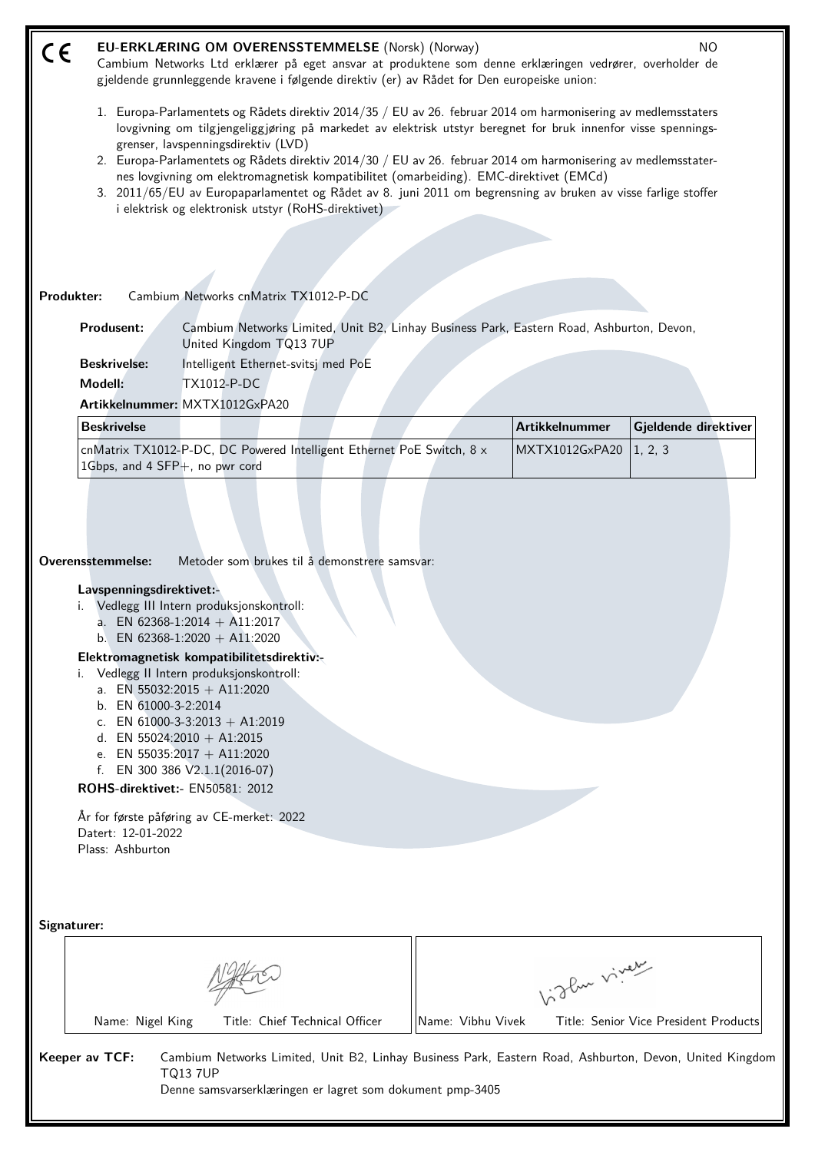| CE | EU-ERKLÆRING OM OVERENSSTEMMELSE (Norsk) (Norway)<br>NO.<br>Cambium Networks Ltd erklærer på eget ansvar at produktene som denne erklæringen vedrører, overholder de<br>gjeldende grunnleggende kravene i følgende direktiv (er) av Rådet for Den europeiske union:                                                                                                                                                                                                                                                                                                                               |                                                                                                                                                                                                                                                       |  |                       |                                 |  |  |
|----|---------------------------------------------------------------------------------------------------------------------------------------------------------------------------------------------------------------------------------------------------------------------------------------------------------------------------------------------------------------------------------------------------------------------------------------------------------------------------------------------------------------------------------------------------------------------------------------------------|-------------------------------------------------------------------------------------------------------------------------------------------------------------------------------------------------------------------------------------------------------|--|-----------------------|---------------------------------|--|--|
|    | 1. Europa-Parlamentets og Rådets direktiv 2014/35 / EU av 26. februar 2014 om harmonisering av medlemsstaters<br>lovgivning om tilgjengeliggjøring på markedet av elektrisk utstyr beregnet for bruk innenfor visse spennings-<br>grenser, lavspenningsdirektiv (LVD)<br>2. Europa-Parlamentets og Rådets direktiv 2014/30 / EU av 26. februar 2014 om harmonisering av medlemsstater-<br>nes lovgivning om elektromagnetisk kompatibilitet (omarbeiding). EMC-direktivet (EMCd)<br>3. 2011/65/EU av Europaparlamentet og Rådet av 8. juni 2011 om begrensning av bruken av visse farlige stoffer |                                                                                                                                                                                                                                                       |  |                       |                                 |  |  |
|    |                                                                                                                                                                                                                                                                                                                                                                                                                                                                                                                                                                                                   | i elektrisk og elektronisk utstyr (RoHS-direktivet)                                                                                                                                                                                                   |  |                       |                                 |  |  |
|    |                                                                                                                                                                                                                                                                                                                                                                                                                                                                                                                                                                                                   |                                                                                                                                                                                                                                                       |  |                       |                                 |  |  |
|    |                                                                                                                                                                                                                                                                                                                                                                                                                                                                                                                                                                                                   |                                                                                                                                                                                                                                                       |  |                       |                                 |  |  |
|    | Produkter:                                                                                                                                                                                                                                                                                                                                                                                                                                                                                                                                                                                        | Cambium Networks cnMatrix TX1012-P-DC                                                                                                                                                                                                                 |  |                       |                                 |  |  |
|    | <b>Produsent:</b>                                                                                                                                                                                                                                                                                                                                                                                                                                                                                                                                                                                 | Cambium Networks Limited, Unit B2, Linhay Business Park, Eastern Road, Ashburton, Devon,<br>United Kingdom TQ13 7UP                                                                                                                                   |  |                       |                                 |  |  |
|    | <b>Beskrivelse:</b>                                                                                                                                                                                                                                                                                                                                                                                                                                                                                                                                                                               | Intelligent Ethernet-svitsj med PoE                                                                                                                                                                                                                   |  |                       |                                 |  |  |
|    | Modell:                                                                                                                                                                                                                                                                                                                                                                                                                                                                                                                                                                                           | <b>TX1012-P-DC</b>                                                                                                                                                                                                                                    |  |                       |                                 |  |  |
|    |                                                                                                                                                                                                                                                                                                                                                                                                                                                                                                                                                                                                   | Artikkelnummer: MXTX1012GxPA20                                                                                                                                                                                                                        |  | <b>Artikkelnummer</b> |                                 |  |  |
|    | <b>Beskrivelse</b>                                                                                                                                                                                                                                                                                                                                                                                                                                                                                                                                                                                | cnMatrix TX1012-P-DC, DC Powered Intelligent Ethernet PoE Switch, 8 x                                                                                                                                                                                 |  | MXTX1012GxPA20        | Gjeldende direktiver<br>1, 2, 3 |  |  |
|    | 1Gbps, and 4 $SFP+$ , no pwr cord                                                                                                                                                                                                                                                                                                                                                                                                                                                                                                                                                                 |                                                                                                                                                                                                                                                       |  |                       |                                 |  |  |
|    | Overensstemmelse:<br>Lavspenningsdirektivet:-                                                                                                                                                                                                                                                                                                                                                                                                                                                                                                                                                     | Metoder som brukes til å demonstrere samsvar:<br>i. Vedlegg III Intern produksjonskontroll:<br>a. EN 62368-1:2014 + A11:2017<br>b. EN 62368-1:2020 + A11:2020<br>Elektromagnetisk kompatibilitetsdirektiv:-<br>Vedlegg II Intern produksjonskontroll: |  |                       |                                 |  |  |
|    | b. EN 61000-3-2:2014                                                                                                                                                                                                                                                                                                                                                                                                                                                                                                                                                                              | a. EN 55032:2015 + A11:2020<br>c. EN 61000-3-3:2013 + A1:2019<br>d. EN 55024:2010 + A1:2015<br>e. EN 55035:2017 + A11:2020<br>f. EN 300 386 $V2.1.1(2016-07)$                                                                                         |  |                       |                                 |  |  |
|    | ROHS-direktivet:- EN50581: 2012                                                                                                                                                                                                                                                                                                                                                                                                                                                                                                                                                                   |                                                                                                                                                                                                                                                       |  |                       |                                 |  |  |
|    | Datert: 12-01-2022<br>Plass: Ashburton                                                                                                                                                                                                                                                                                                                                                                                                                                                                                                                                                            | År for første påføring av CE-merket: 2022                                                                                                                                                                                                             |  |                       |                                 |  |  |
|    | Signaturer:                                                                                                                                                                                                                                                                                                                                                                                                                                                                                                                                                                                       |                                                                                                                                                                                                                                                       |  |                       |                                 |  |  |
|    | birthe viver                                                                                                                                                                                                                                                                                                                                                                                                                                                                                                                                                                                      |                                                                                                                                                                                                                                                       |  |                       |                                 |  |  |
|    | Title: Chief Technical Officer<br>Name: Vibhu Vivek<br>Name: Nigel King<br>Title: Senior Vice President Products                                                                                                                                                                                                                                                                                                                                                                                                                                                                                  |                                                                                                                                                                                                                                                       |  |                       |                                 |  |  |
|    | Keeper av TCF:<br>Cambium Networks Limited, Unit B2, Linhay Business Park, Eastern Road, Ashburton, Devon, United Kingdom<br><b>TQ13 7UP</b><br>Denne samsvarserklæringen er lagret som dokument pmp-3405                                                                                                                                                                                                                                                                                                                                                                                         |                                                                                                                                                                                                                                                       |  |                       |                                 |  |  |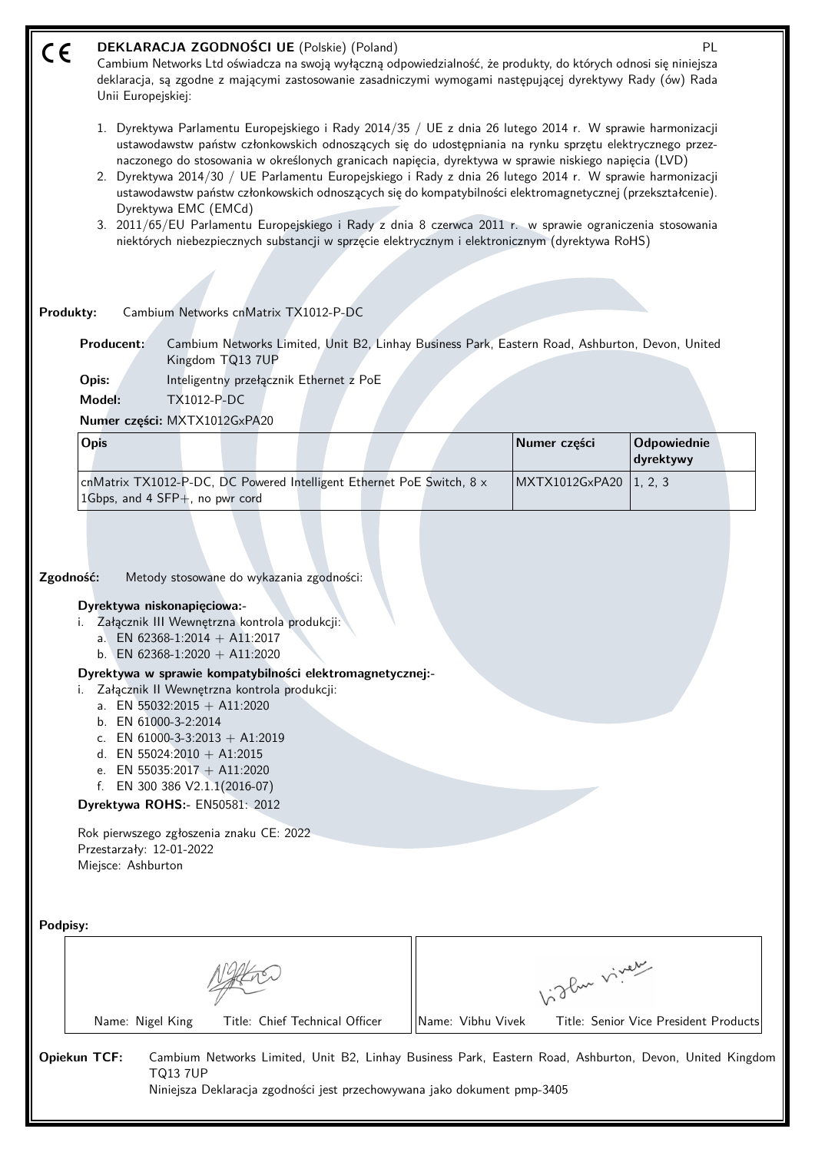| CE       | DEKLARACJA ZGODNOŚCI UE (Polskie) (Poland)<br>PL<br>Cambium Networks Ltd oświadcza na swoją wyłączną odpowiedzialność, że produkty, do których odnosi się niniejsza<br>deklaracja, są zgodne z mającymi zastosowanie zasadniczymi wymogami następującej dyrektywy Rady (ów) Rada<br>Unii Europejskiej:<br>1. Dyrektywa Parlamentu Europejskiego i Rady 2014/35 / UE z dnia 26 lutego 2014 r. W sprawie harmonizacji                                                                                                                                                                                                                                                                  |                   |                |                                       |  |  |
|----------|--------------------------------------------------------------------------------------------------------------------------------------------------------------------------------------------------------------------------------------------------------------------------------------------------------------------------------------------------------------------------------------------------------------------------------------------------------------------------------------------------------------------------------------------------------------------------------------------------------------------------------------------------------------------------------------|-------------------|----------------|---------------------------------------|--|--|
|          | ustawodawstw państw członkowskich odnoszących się do udostępniania na rynku sprzętu elektrycznego przez-<br>naczonego do stosowania w określonych granicach napięcia, dyrektywa w sprawie niskiego napięcia (LVD)<br>2. Dyrektywa 2014/30 / UE Parlamentu Europejskiego i Rady z dnia 26 lutego 2014 r. W sprawie harmonizacji<br>ustawodawstw państw członkowskich odnoszących się do kompatybilności elektromagnetycznej (przekształcenie).<br>Dyrektywa EMC (EMCd)<br>3. 2011/65/EU Parlamentu Europejskiego i Rady z dnia 8 czerwca 2011 r. w sprawie ograniczenia stosowania<br>niektórych niebezpiecznych substancji w sprzęcie elektrycznym i elektronicznym (dyrektywa RoHS) |                   |                |                                       |  |  |
|          | Cambium Networks cnMatrix TX1012-P-DC<br>Produkty:                                                                                                                                                                                                                                                                                                                                                                                                                                                                                                                                                                                                                                   |                   |                |                                       |  |  |
|          | Producent:<br>Cambium Networks Limited, Unit B2, Linhay Business Park, Eastern Road, Ashburton, Devon, United<br>Kingdom TQ13 7UP                                                                                                                                                                                                                                                                                                                                                                                                                                                                                                                                                    |                   |                |                                       |  |  |
|          | Inteligentny przełącznik Ethernet z PoE<br>Opis:<br>Model:<br><b>TX1012-P-DC</b>                                                                                                                                                                                                                                                                                                                                                                                                                                                                                                                                                                                                     |                   |                |                                       |  |  |
|          | Numer części: MXTX1012GxPA20                                                                                                                                                                                                                                                                                                                                                                                                                                                                                                                                                                                                                                                         |                   |                |                                       |  |  |
|          | <b>Opis</b>                                                                                                                                                                                                                                                                                                                                                                                                                                                                                                                                                                                                                                                                          |                   | Numer części   | Odpowiednie<br>dyrektywy              |  |  |
|          | cnMatrix TX1012-P-DC, DC Powered Intelligent Ethernet PoE Switch, 8 x<br>1Gbps, and 4 SFP+, no pwr cord                                                                                                                                                                                                                                                                                                                                                                                                                                                                                                                                                                              |                   | MXTX1012GxPA20 | 1, 2, 3                               |  |  |
|          | Zgodność:<br>Metody stosowane do wykazania zgodności:<br>Dyrektywa niskonapięciowa:-<br>i. Załącznik III Wewnętrzna kontrola produkcji:<br>a. EN 62368-1:2014 + A11:2017<br>b. EN 62368-1:2020 + A11:2020<br>Dyrektywa w sprawie kompatybilności elektromagnetycznej:-<br>Załącznik II Wewnętrzna kontrola produkcji:<br>a. EN 55032:2015 + A11:2020<br>b. EN 61000-3-2:2014<br>c. EN 61000-3-3:2013 + A1:2019<br>d. EN 55024:2010 + A1:2015<br>e. EN 55035:2017 + A11:2020<br>f. EN 300 386 V2.1.1(2016-07)<br>Dyrektywa ROHS:- EN50581: 2012<br>Rok pierwszego zgłoszenia znaku CE: 2022<br>Przestarzały: 12-01-2022<br>Miejsce: Ashburton                                         |                   |                |                                       |  |  |
| Podpisy: |                                                                                                                                                                                                                                                                                                                                                                                                                                                                                                                                                                                                                                                                                      |                   |                |                                       |  |  |
|          |                                                                                                                                                                                                                                                                                                                                                                                                                                                                                                                                                                                                                                                                                      |                   | birthe vivey   |                                       |  |  |
|          | Name: Nigel King<br>Title: Chief Technical Officer                                                                                                                                                                                                                                                                                                                                                                                                                                                                                                                                                                                                                                   | Name: Vibhu Vivek |                | Title: Senior Vice President Products |  |  |
|          | Opiekun TCF:<br>Cambium Networks Limited, Unit B2, Linhay Business Park, Eastern Road, Ashburton, Devon, United Kingdom<br><b>TQ13 7UP</b><br>Niniejsza Deklaracja zgodności jest przechowywana jako dokument pmp-3405                                                                                                                                                                                                                                                                                                                                                                                                                                                               |                   |                |                                       |  |  |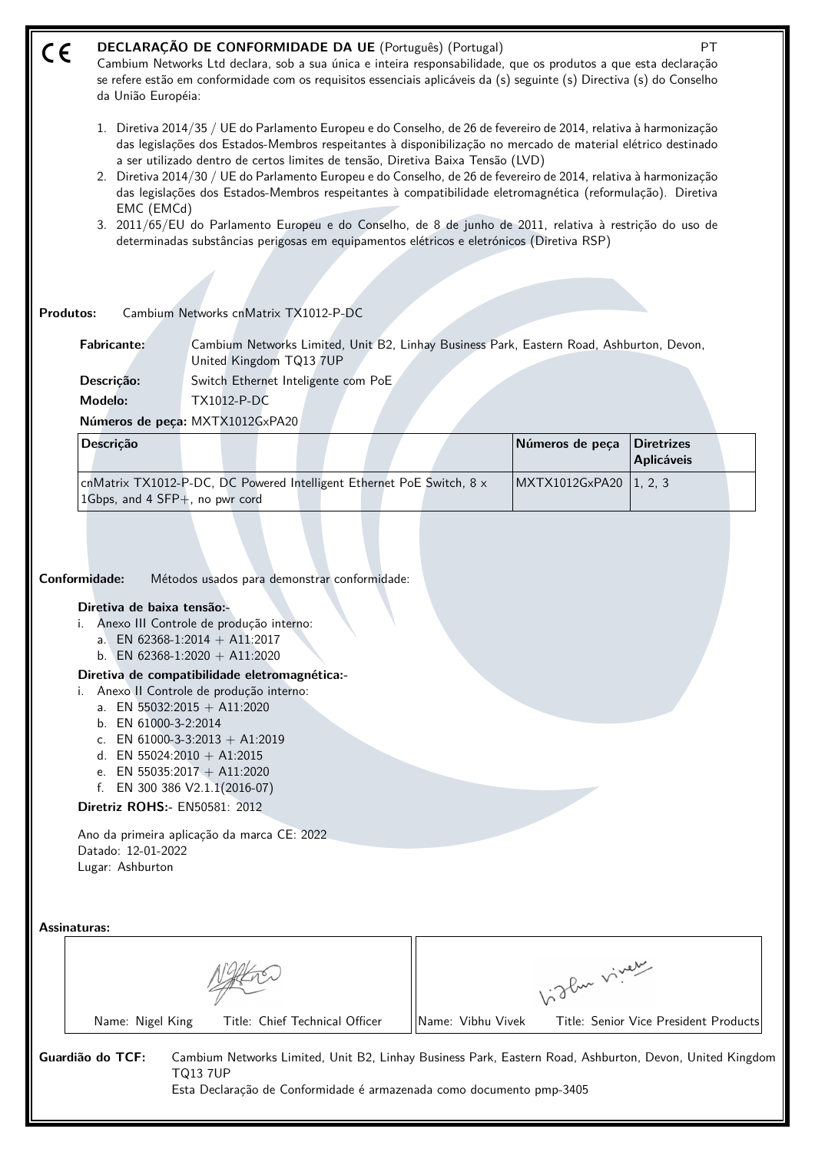#### **DECLARAÇÃO DE CONFORMIDADE DA UE** (Português) (Portugal) PT  $\epsilon$

Cambium Networks Ltd declara, sob a sua única e inteira responsabilidade, que os produtos a que esta declaração se refere estão em conformidade com os requisitos essenciais aplicáveis da (s) seguinte (s) Directiva (s) do Conselho da União Européia:

- 1. Diretiva 2014/35 / UE do Parlamento Europeu e do Conselho, de 26 de fevereiro de 2014, relativa à harmonização das legislações dos Estados-Membros respeitantes à disponibilização no mercado de material elétrico destinado a ser utilizado dentro de certos limites de tensão, Diretiva Baixa Tensão (LVD)
- 2. Diretiva 2014/30 / UE do Parlamento Europeu e do Conselho, de 26 de fevereiro de 2014, relativa à harmonização das legislações dos Estados-Membros respeitantes à compatibilidade eletromagnética (reformulação). Diretiva EMC (EMCd)
- 3. 2011/65/EU do Parlamento Europeu e do Conselho, de 8 de junho de 2011, relativa à restrição do uso de determinadas substâncias perigosas em equipamentos elétricos e eletrónicos (Diretiva RSP)

## **Produtos:** Cambium Networks cnMatrix TX1012-P-DC

**Fabricante:** Cambium Networks Limited, Unit B2, Linhay Business Park, Eastern Road, Ashburton, Devon, United Kingdom TQ13 7UP

**Descrição:** Switch Ethernet Inteligente com PoE **Modelo:** TX1012-P-DC

**Números de peça:** MXTX1012GxPA20

| <b>Descricão</b>                                                                                            |  | Números de peca          | Diretrizes<br>  Aplicáveis |
|-------------------------------------------------------------------------------------------------------------|--|--------------------------|----------------------------|
| cnMatrix TX1012-P-DC, DC Powered Intelligent Ethernet PoE Switch, 8 x<br>1 Gbps, and 4 $SFP+$ , no pwr cord |  | MXTX1012GxPA20   1, 2, 3 |                            |

**Conformidade:** Métodos usados para demonstrar conformidade:

## **Diretiva de baixa tensão:-**

- i. Anexo III Controle de produção interno:
	- a. EN 62368-1:2014 + A11:2017
	- b. EN 62368-1:2020 + A11:2020

## **Diretiva de compatibilidade eletromagnética:-**

- i. Anexo II Controle de produção interno:
	- a. EN  $55032:2015 + A11:2020$
	- b. EN 61000-3-2:2014
	- c. EN 61000-3-3:2013 + A1:2019
	- d. EN 55024:2010 + A1:2015
	- e. EN 55035:2017 + A11:2020
	- f. EN 300 386 V2.1.1(2016-07)
- **Diretriz ROHS:-** EN50581: 2012

Ano da primeira aplicação da marca CE: 2022 Datado: 12-01-2022 Lugar: Ashburton

**Assinaturas:**

|                  |                                | glue viveur       |                                                                                                         |  |
|------------------|--------------------------------|-------------------|---------------------------------------------------------------------------------------------------------|--|
| Name: Nigel King | Title: Chief Technical Officer | Name: Vibhu Vivek | Title: Senior Vice President Products                                                                   |  |
| Guardião do TCF: | TQ13 7UP                       |                   | Cambium Networks Limited, Unit B2, Linhay Business Park, Eastern Road, Ashburton, Devon, United Kingdom |  |

Esta Declaração de Conformidade é armazenada como documento pmp-3405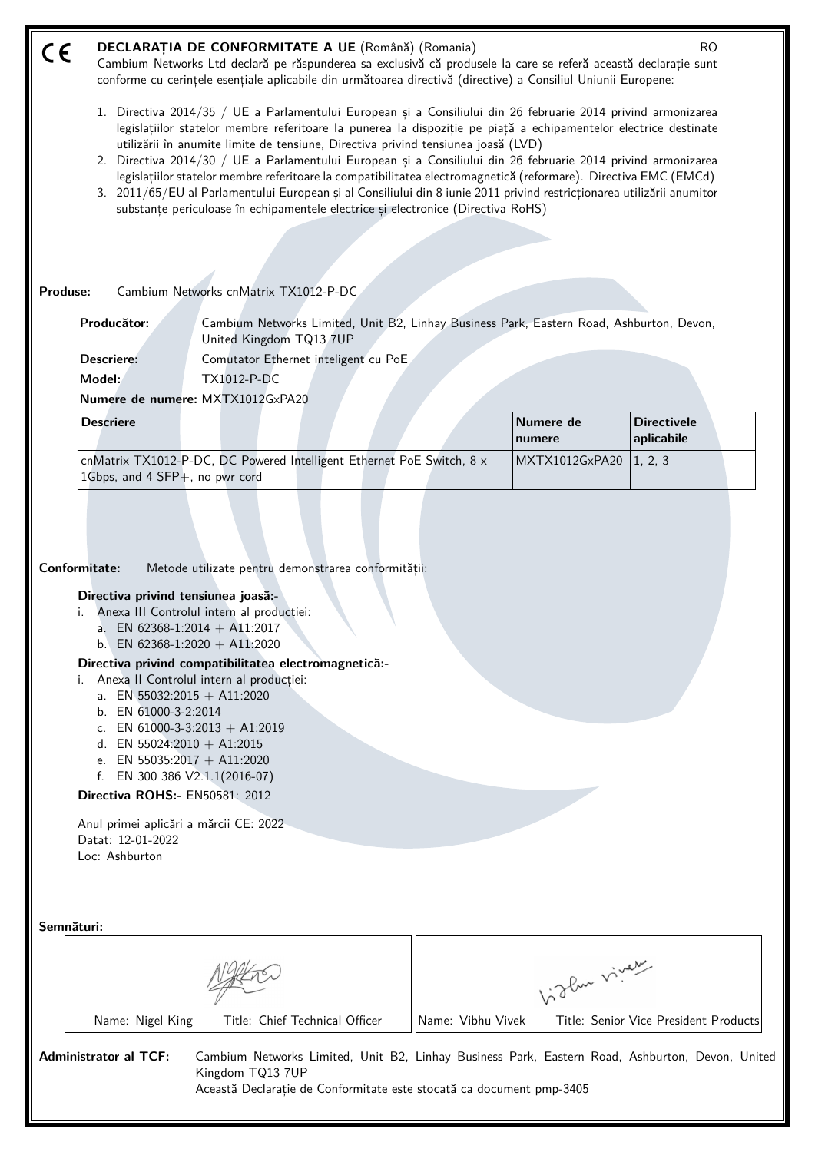| DECLARAȚIA DE CONFORMITATE A UE (Română) (Romania)<br>CE                                                                                                                                                                                                                                                                                                                                                                                                                                                                                                                                                                                    | <b>RO</b>                                                                                                                                                                                                                                                                                                                                                                                                                                                                                                                                                                                        |
|---------------------------------------------------------------------------------------------------------------------------------------------------------------------------------------------------------------------------------------------------------------------------------------------------------------------------------------------------------------------------------------------------------------------------------------------------------------------------------------------------------------------------------------------------------------------------------------------------------------------------------------------|--------------------------------------------------------------------------------------------------------------------------------------------------------------------------------------------------------------------------------------------------------------------------------------------------------------------------------------------------------------------------------------------------------------------------------------------------------------------------------------------------------------------------------------------------------------------------------------------------|
| conforme cu cerințele esențiale aplicabile din următoarea directivă (directive) a Consiliul Uniunii Europene:                                                                                                                                                                                                                                                                                                                                                                                                                                                                                                                               | Cambium Networks Ltd declară pe răspunderea sa exclusivă că produsele la care se referă această declarație sunt                                                                                                                                                                                                                                                                                                                                                                                                                                                                                  |
| utilizării în anumite limite de tensiune, Directiva privind tensiunea joasă (LVD)<br>substanțe periculoase în echipamentele electrice și electronice (Directiva RoHS)                                                                                                                                                                                                                                                                                                                                                                                                                                                                       | 1. Directiva 2014/35 / UE a Parlamentului European și a Consiliului din 26 februarie 2014 privind armonizarea<br>legislațiilor statelor membre referitoare la punerea la dispoziție pe piață a echipamentelor electrice destinate<br>2. Directiva 2014/30 / UE a Parlamentului European și a Consiliului din 26 februarie 2014 privind armonizarea<br>legislațiilor statelor membre referitoare la compatibilitatea electromagnetică (reformare). Directiva EMC (EMCd)<br>3. 2011/65/EU al Parlamentului European și al Consiliului din 8 iunie 2011 privind restricționarea utilizării anumitor |
| Cambium Networks cnMatrix TX1012-P-DC<br>Produse:                                                                                                                                                                                                                                                                                                                                                                                                                                                                                                                                                                                           |                                                                                                                                                                                                                                                                                                                                                                                                                                                                                                                                                                                                  |
| Producător:<br>United Kingdom TQ13 7UP                                                                                                                                                                                                                                                                                                                                                                                                                                                                                                                                                                                                      | Cambium Networks Limited, Unit B2, Linhay Business Park, Eastern Road, Ashburton, Devon,                                                                                                                                                                                                                                                                                                                                                                                                                                                                                                         |
| <b>Descriere:</b><br>Comutator Ethernet inteligent cu PoE                                                                                                                                                                                                                                                                                                                                                                                                                                                                                                                                                                                   |                                                                                                                                                                                                                                                                                                                                                                                                                                                                                                                                                                                                  |
| Model:<br><b>TX1012-P-DC</b>                                                                                                                                                                                                                                                                                                                                                                                                                                                                                                                                                                                                                |                                                                                                                                                                                                                                                                                                                                                                                                                                                                                                                                                                                                  |
| Numere de numere: MXTX1012GxPA20<br><b>Descriere</b>                                                                                                                                                                                                                                                                                                                                                                                                                                                                                                                                                                                        | Numere de<br><b>Directivele</b><br>aplicabile<br>numere                                                                                                                                                                                                                                                                                                                                                                                                                                                                                                                                          |
| cnMatrix TX1012-P-DC, DC Powered Intelligent Ethernet PoE Switch, 8 x<br>1Gbps, and 4 SFP+, no pwr cord                                                                                                                                                                                                                                                                                                                                                                                                                                                                                                                                     | MXTX1012GxPA20<br>1, 2, 3                                                                                                                                                                                                                                                                                                                                                                                                                                                                                                                                                                        |
| Conformitate:<br>Metode utilizate pentru demonstrarea conformității:<br>Directiva privind tensiunea joasă:-<br>Anexa III Controlul intern al producției:<br>a. EN 62368-1:2014 + A11:2017<br>b. EN 62368-1:2020 + A11:2020<br>Directiva privind compatibilitatea electromagnetică:-<br>Anexa II Controlul intern al producției:<br>a. EN 55032:2015 + A11:2020<br>b. EN 61000-3-2:2014<br>c. EN 61000-3-3:2013 + A1:2019<br>d. EN 55024:2010 + A1:2015<br>e. EN 55035:2017 + A11:2020<br>f. EN 300 386 $V2.1.1(2016-07)$<br>Directiva ROHS:- EN50581: 2012<br>Anul primei aplicări a mărcii CE: 2022<br>Datat: 12-01-2022<br>Loc: Ashburton |                                                                                                                                                                                                                                                                                                                                                                                                                                                                                                                                                                                                  |
| Semnături:                                                                                                                                                                                                                                                                                                                                                                                                                                                                                                                                                                                                                                  | Vidley vivey                                                                                                                                                                                                                                                                                                                                                                                                                                                                                                                                                                                     |
| Title: Chief Technical Officer<br>Name: Nigel King                                                                                                                                                                                                                                                                                                                                                                                                                                                                                                                                                                                          | Name: Vibhu Vivek<br>Title: Senior Vice President Products                                                                                                                                                                                                                                                                                                                                                                                                                                                                                                                                       |
| <b>Administrator al TCF:</b><br>Kingdom TQ13 7UP<br>Această Declarație de Conformitate este stocată ca document pmp-3405                                                                                                                                                                                                                                                                                                                                                                                                                                                                                                                    | Cambium Networks Limited, Unit B2, Linhay Business Park, Eastern Road, Ashburton, Devon, United                                                                                                                                                                                                                                                                                                                                                                                                                                                                                                  |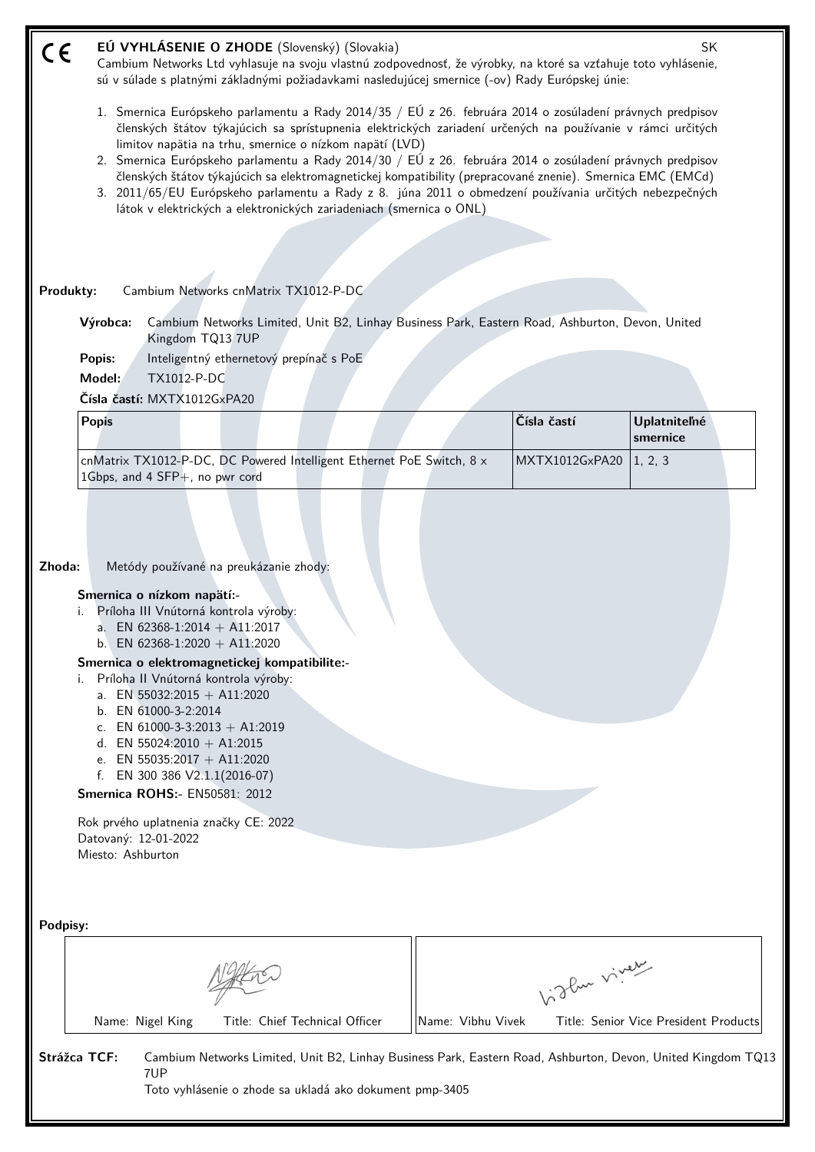| C€        |                             |                      |                                                                                       | EÚ VYHLÁSENIE O ZHODE (Slovenský) (Slovakia)                          |                   |                                                                                                                                                                                                                          | SK                                                                                                           |
|-----------|-----------------------------|----------------------|---------------------------------------------------------------------------------------|-----------------------------------------------------------------------|-------------------|--------------------------------------------------------------------------------------------------------------------------------------------------------------------------------------------------------------------------|--------------------------------------------------------------------------------------------------------------|
|           |                             |                      |                                                                                       |                                                                       |                   | Cambium Networks Ltd vyhlasuje na svoju vlastnú zodpovednosť, že výrobky, na ktoré sa vzťahuje toto vyhlásenie,<br>sú v súlade s platnými základnými požiadavkami nasledujúcej smernice (-ov) Rady Európskej únie:       |                                                                                                              |
|           |                             |                      |                                                                                       |                                                                       |                   |                                                                                                                                                                                                                          |                                                                                                              |
|           |                             |                      |                                                                                       | limitov napätia na trhu, smernice o nízkom napätí (LVD)               |                   | 1. Smernica Európskeho parlamentu a Rady 2014/35 / EÚ z 26. februára 2014 o zosúladení právnych predpisov<br>členských štátov týkajúcich sa sprístupnenia elektrických zariadení určených na používanie v rámci určitých |                                                                                                              |
|           |                             |                      |                                                                                       |                                                                       |                   | 2. Smernica Európskeho parlamentu a Rady 2014/30 / EÚ z 26. februára 2014 o zosúladení právnych predpisov<br>členských štátov týkajúcich sa elektromagnetickej kompatibility (prepracované znenie). Smernica EMC (EMCd)  |                                                                                                              |
|           |                             |                      |                                                                                       | látok v elektrických a elektronických zariadeniach (smernica o ONL)   |                   | 3. 2011/65/EU Európskeho parlamentu a Rady z 8. júna 2011 o obmedzení používania určitých nebezpečných                                                                                                                   |                                                                                                              |
|           |                             |                      |                                                                                       |                                                                       |                   |                                                                                                                                                                                                                          |                                                                                                              |
|           |                             |                      |                                                                                       |                                                                       |                   |                                                                                                                                                                                                                          |                                                                                                              |
|           |                             |                      |                                                                                       |                                                                       |                   |                                                                                                                                                                                                                          |                                                                                                              |
| Produkty: |                             |                      | Cambium Networks cnMatrix TX1012-P-DC                                                 |                                                                       |                   |                                                                                                                                                                                                                          |                                                                                                              |
|           | Výrobca:                    |                      | Kingdom TQ13 7UP                                                                      |                                                                       |                   | Cambium Networks Limited, Unit B2, Linhay Business Park, Eastern Road, Ashburton, Devon, United                                                                                                                          |                                                                                                              |
|           | Popis:                      |                      | Inteligentný ethernetový prepínač s PoE                                               |                                                                       |                   |                                                                                                                                                                                                                          |                                                                                                              |
|           | Model:                      | TX1012-P-DC          |                                                                                       |                                                                       |                   |                                                                                                                                                                                                                          |                                                                                                              |
|           | Čísla častí: MXTX1012GxPA20 |                      |                                                                                       |                                                                       |                   |                                                                                                                                                                                                                          |                                                                                                              |
|           | <b>Popis</b>                |                      |                                                                                       |                                                                       |                   | Čísla častí                                                                                                                                                                                                              | <b>Uplatniteľné</b><br>smernice                                                                              |
|           |                             |                      | 1Gbps, and 4 SFP+, no pwr cord                                                        | cnMatrix TX1012-P-DC, DC Powered Intelligent Ethernet PoE Switch, 8 x |                   | MXTX1012GxPA20                                                                                                                                                                                                           | 1, 2, 3                                                                                                      |
|           |                             |                      |                                                                                       |                                                                       |                   |                                                                                                                                                                                                                          |                                                                                                              |
|           |                             |                      |                                                                                       |                                                                       |                   |                                                                                                                                                                                                                          |                                                                                                              |
|           |                             |                      |                                                                                       |                                                                       |                   |                                                                                                                                                                                                                          |                                                                                                              |
| Zhoda:    |                             |                      | Metódy používané na preukázanie zhody:                                                |                                                                       |                   |                                                                                                                                                                                                                          |                                                                                                              |
|           | Smernica o nízkom napätí:-  |                      |                                                                                       |                                                                       |                   |                                                                                                                                                                                                                          |                                                                                                              |
|           | i.                          |                      | Príloha III Vnútorná kontrola výroby:                                                 |                                                                       |                   |                                                                                                                                                                                                                          |                                                                                                              |
|           |                             |                      | a. EN 62368-1:2014 + A11:2017                                                         |                                                                       |                   |                                                                                                                                                                                                                          |                                                                                                              |
|           |                             |                      | b. EN 62368-1:2020 + A11:2020                                                         |                                                                       |                   |                                                                                                                                                                                                                          |                                                                                                              |
|           |                             |                      | Smernica o elektromagnetickej kompatibilite:-<br>Príloha II Vnútorná kontrola výroby: |                                                                       |                   |                                                                                                                                                                                                                          |                                                                                                              |
|           |                             |                      | a. EN 55032:2015 + A11:2020                                                           |                                                                       |                   |                                                                                                                                                                                                                          |                                                                                                              |
|           |                             | b. EN 61000-3-2:2014 |                                                                                       |                                                                       |                   |                                                                                                                                                                                                                          |                                                                                                              |
|           |                             |                      | c. EN 61000-3-3:2013 + A1:2019<br>d. EN 55024:2010 + A1:2015                          |                                                                       |                   |                                                                                                                                                                                                                          |                                                                                                              |
|           |                             |                      | e. EN 55035:2017 + A11:2020                                                           |                                                                       |                   |                                                                                                                                                                                                                          |                                                                                                              |
|           |                             |                      | f. EN 300 386 $V2.1.1(2016-07)$                                                       |                                                                       |                   |                                                                                                                                                                                                                          |                                                                                                              |
|           |                             |                      | <b>Smernica ROHS:- EN50581: 2012</b>                                                  |                                                                       |                   |                                                                                                                                                                                                                          |                                                                                                              |
|           |                             |                      | Rok prvého uplatnenia značky CE: 2022                                                 |                                                                       |                   |                                                                                                                                                                                                                          |                                                                                                              |
|           | Datovaný: 12-01-2022        |                      |                                                                                       |                                                                       |                   |                                                                                                                                                                                                                          |                                                                                                              |
|           | Miesto: Ashburton           |                      |                                                                                       |                                                                       |                   |                                                                                                                                                                                                                          |                                                                                                              |
|           |                             |                      |                                                                                       |                                                                       |                   |                                                                                                                                                                                                                          |                                                                                                              |
|           |                             |                      |                                                                                       |                                                                       |                   |                                                                                                                                                                                                                          |                                                                                                              |
| Podpisy:  |                             |                      |                                                                                       |                                                                       |                   |                                                                                                                                                                                                                          |                                                                                                              |
|           |                             |                      |                                                                                       |                                                                       |                   |                                                                                                                                                                                                                          |                                                                                                              |
|           |                             |                      |                                                                                       |                                                                       |                   |                                                                                                                                                                                                                          |                                                                                                              |
|           |                             |                      |                                                                                       |                                                                       |                   | higher viney                                                                                                                                                                                                             |                                                                                                              |
|           |                             |                      |                                                                                       |                                                                       |                   |                                                                                                                                                                                                                          |                                                                                                              |
|           |                             | Name: Nigel King     |                                                                                       | Title: Chief Technical Officer                                        | Name: Vibhu Vivek |                                                                                                                                                                                                                          | Title: Senior Vice President Products                                                                        |
|           | Strážca TCF:                |                      |                                                                                       |                                                                       |                   |                                                                                                                                                                                                                          | Cambium Networks Limited, Unit B2, Linhay Business Park, Eastern Road, Ashburton, Devon, United Kingdom TQ13 |
|           |                             | 7UP                  |                                                                                       |                                                                       |                   |                                                                                                                                                                                                                          |                                                                                                              |
|           |                             |                      |                                                                                       | Toto vyhlásenie o zhode sa ukladá ako dokument pmp-3405               |                   |                                                                                                                                                                                                                          |                                                                                                              |
|           |                             |                      |                                                                                       |                                                                       |                   |                                                                                                                                                                                                                          |                                                                                                              |
|           |                             |                      |                                                                                       |                                                                       |                   |                                                                                                                                                                                                                          |                                                                                                              |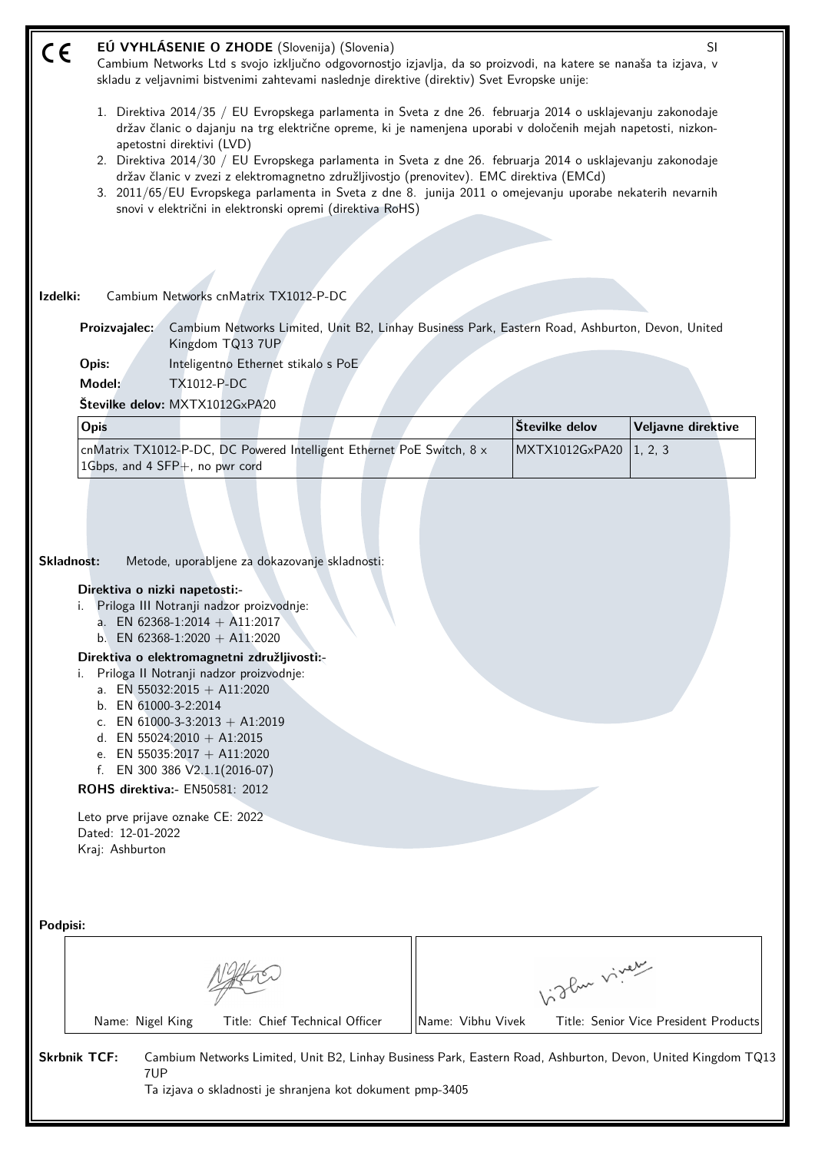| CE                  | EÚ VYHLÁSENIE O ZHODE (Slovenija) (Slovenia)<br>SI<br>Cambium Networks Ltd s svojo izključno odgovornostjo izjavlja, da so proizvodi, na katere se nanaša ta izjava, v<br>skladu z veljavnimi bistvenimi zahtevami naslednje direktive (direktiv) Svet Evropske unije:                                                                                                                                                                                                                                                                                                                                                                         |                   |                |                                       |  |  |  |
|---------------------|------------------------------------------------------------------------------------------------------------------------------------------------------------------------------------------------------------------------------------------------------------------------------------------------------------------------------------------------------------------------------------------------------------------------------------------------------------------------------------------------------------------------------------------------------------------------------------------------------------------------------------------------|-------------------|----------------|---------------------------------------|--|--|--|
|                     | 1. Direktiva 2014/35 / EU Evropskega parlamenta in Sveta z dne 26. februarja 2014 o usklajevanju zakonodaje<br>držav članic o dajanju na trg električne opreme, ki je namenjena uporabi v določenih mejah napetosti, nizkon-<br>apetostni direktivi (LVD)<br>2. Direktiva 2014/30 / EU Evropskega parlamenta in Sveta z dne 26. februarja 2014 o usklajevanju zakonodaje<br>držav članic v zvezi z elektromagnetno združljivostjo (prenovitev). EMC direktiva (EMCd)<br>3. 2011/65/EU Evropskega parlamenta in Sveta z dne 8. junija 2011 o omejevanju uporabe nekaterih nevarnih<br>snovi v električni in elektronski opremi (direktiva RoHS) |                   |                |                                       |  |  |  |
|                     |                                                                                                                                                                                                                                                                                                                                                                                                                                                                                                                                                                                                                                                |                   |                |                                       |  |  |  |
|                     |                                                                                                                                                                                                                                                                                                                                                                                                                                                                                                                                                                                                                                                |                   |                |                                       |  |  |  |
| Izdelki:            | Cambium Networks cnMatrix TX1012-P-DC                                                                                                                                                                                                                                                                                                                                                                                                                                                                                                                                                                                                          |                   |                |                                       |  |  |  |
|                     | Cambium Networks Limited, Unit B2, Linhay Business Park, Eastern Road, Ashburton, Devon, United<br>Proizvajalec:<br>Kingdom TQ13 7UP                                                                                                                                                                                                                                                                                                                                                                                                                                                                                                           |                   |                |                                       |  |  |  |
|                     | Inteligentno Ethernet stikalo s PoE<br>Opis:                                                                                                                                                                                                                                                                                                                                                                                                                                                                                                                                                                                                   |                   |                |                                       |  |  |  |
|                     | Model:<br><b>TX1012-P-DC</b>                                                                                                                                                                                                                                                                                                                                                                                                                                                                                                                                                                                                                   |                   |                |                                       |  |  |  |
|                     | Številke delov: MXTX1012GxPA20                                                                                                                                                                                                                                                                                                                                                                                                                                                                                                                                                                                                                 |                   |                |                                       |  |  |  |
|                     | Opis                                                                                                                                                                                                                                                                                                                                                                                                                                                                                                                                                                                                                                           |                   | Številke delov | Veljavne direktive                    |  |  |  |
|                     | cnMatrix TX1012-P-DC, DC Powered Intelligent Ethernet PoE Switch, 8 x<br>1Gbps, and 4 SFP+, no pwr cord                                                                                                                                                                                                                                                                                                                                                                                                                                                                                                                                        |                   | MXTX1012GxPA20 | 1, 2, 3                               |  |  |  |
| Skladnost:          | Metode, uporabljene za dokazovanje skladnosti:<br>Direktiva o nizki napetosti:-<br>Priloga III Notranji nadzor proizvodnje:<br>a. EN 62368-1:2014 + A11:2017<br>b. EN 62368-1:2020 + A11:2020<br>Direktiva o elektromagnetni združljivosti:-<br>Priloga II Notranji nadzor proizvodnje:<br>i.<br>a. EN 55032:2015 + A11:2020<br>b. EN 61000-3-2:2014<br>c. EN 61000-3-3:2013 + A1:2019<br>d. EN 55024:2010 + A1:2015<br>e. EN 55035:2017 + A11:2020<br>f. EN 300 386 $V2.1.1(2016-07)$<br><b>ROHS direktiva:</b> - EN50581: 2012<br>Leto prve prijave oznake CE: 2022<br>Dated: 12-01-2022<br>Kraj: Ashburton                                  |                   |                |                                       |  |  |  |
| Podpisi:            | Name: Nigel King<br>Title: Chief Technical Officer                                                                                                                                                                                                                                                                                                                                                                                                                                                                                                                                                                                             | Name: Vibhu Vivek | Vidlen viner   | Title: Senior Vice President Products |  |  |  |
| <b>Skrbnik TCF:</b> | Cambium Networks Limited, Unit B2, Linhay Business Park, Eastern Road, Ashburton, Devon, United Kingdom TQ13<br>7UP<br>Ta izjava o skladnosti je shranjena kot dokument pmp-3405                                                                                                                                                                                                                                                                                                                                                                                                                                                               |                   |                |                                       |  |  |  |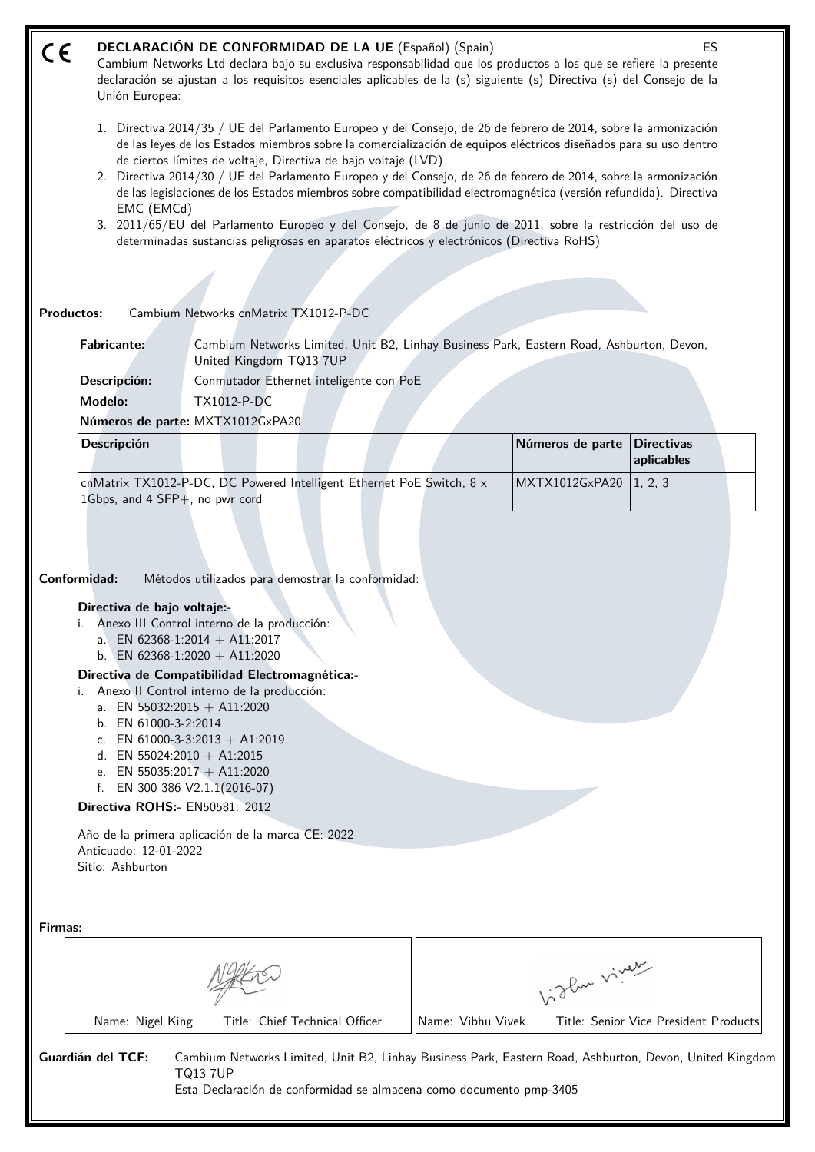| C€                | <b>DECLARACIÓN DE CONFORMIDAD DE LA UE</b> (Español) (Spain)<br>ES<br>Cambium Networks Ltd declara bajo su exclusiva responsabilidad que los productos a los que se refiere la presente<br>declaración se ajustan a los requisitos esenciales aplicables de la (s) siguiente (s) Directiva (s) del Consejo de la<br>Unión Europea:<br>1. Directiva 2014/35 / UE del Parlamento Europeo y del Consejo, de 26 de febrero de 2014, sobre la armonización<br>de las leyes de los Estados miembros sobre la comercialización de equipos eléctricos diseñados para su uso dentro<br>de ciertos límites de voltaje, Directiva de bajo voltaje (LVD)<br>2. Directiva 2014/30 / UE del Parlamento Europeo y del Consejo, de 26 de febrero de 2014, sobre la armonización<br>de las legislaciones de los Estados miembros sobre compatibilidad electromagnética (versión refundida). Directiva<br>EMC (EMCd)<br>3. 2011/65/EU del Parlamento Europeo y del Consejo, de 8 de junio de 2011, sobre la restricción del uso de<br>determinadas sustancias peligrosas en aparatos eléctricos y electrónicos (Directiva RoHS) |                                                                                                                                                                                                                                                                                                                                                           |                   |                  |                                       |  |
|-------------------|---------------------------------------------------------------------------------------------------------------------------------------------------------------------------------------------------------------------------------------------------------------------------------------------------------------------------------------------------------------------------------------------------------------------------------------------------------------------------------------------------------------------------------------------------------------------------------------------------------------------------------------------------------------------------------------------------------------------------------------------------------------------------------------------------------------------------------------------------------------------------------------------------------------------------------------------------------------------------------------------------------------------------------------------------------------------------------------------------------------|-----------------------------------------------------------------------------------------------------------------------------------------------------------------------------------------------------------------------------------------------------------------------------------------------------------------------------------------------------------|-------------------|------------------|---------------------------------------|--|
|                   |                                                                                                                                                                                                                                                                                                                                                                                                                                                                                                                                                                                                                                                                                                                                                                                                                                                                                                                                                                                                                                                                                                               |                                                                                                                                                                                                                                                                                                                                                           |                   |                  |                                       |  |
| <b>Productos:</b> |                                                                                                                                                                                                                                                                                                                                                                                                                                                                                                                                                                                                                                                                                                                                                                                                                                                                                                                                                                                                                                                                                                               | Cambium Networks cnMatrix TX1012-P-DC                                                                                                                                                                                                                                                                                                                     |                   |                  |                                       |  |
|                   | <b>Fabricante:</b><br>Descripción:<br>Modelo:                                                                                                                                                                                                                                                                                                                                                                                                                                                                                                                                                                                                                                                                                                                                                                                                                                                                                                                                                                                                                                                                 | Cambium Networks Limited, Unit B2, Linhay Business Park, Eastern Road, Ashburton, Devon,<br>United Kingdom TQ13 7UP<br>Conmutador Ethernet inteligente con PoE<br><b>TX1012-P-DC</b>                                                                                                                                                                      |                   |                  |                                       |  |
|                   |                                                                                                                                                                                                                                                                                                                                                                                                                                                                                                                                                                                                                                                                                                                                                                                                                                                                                                                                                                                                                                                                                                               | Números de parte: MXTX1012GxPA20                                                                                                                                                                                                                                                                                                                          |                   |                  |                                       |  |
|                   | <b>Descripción</b>                                                                                                                                                                                                                                                                                                                                                                                                                                                                                                                                                                                                                                                                                                                                                                                                                                                                                                                                                                                                                                                                                            |                                                                                                                                                                                                                                                                                                                                                           |                   | Números de parte | <b>Directivas</b><br>aplicables       |  |
|                   |                                                                                                                                                                                                                                                                                                                                                                                                                                                                                                                                                                                                                                                                                                                                                                                                                                                                                                                                                                                                                                                                                                               | cnMatrix TX1012-P-DC, DC Powered Intelligent Ethernet PoE Switch, 8 x                                                                                                                                                                                                                                                                                     |                   | MXTX1012GxPA20   | 1, 2, 3                               |  |
|                   | Conformidad:<br>Directiva de bajo voltaje:-<br>a. EN 55032:2015 + A11:2020<br>b. EN 61000-3-2:2014<br>d. EN 55024:2010 + A1:2015<br>e. EN 55035:2017 + A11:2020<br>f. EN 300 386 $V2.1.1(2016-07)$<br>Directiva ROHS:- EN50581: 2012<br>Anticuado: 12-01-2022<br>Sitio: Ashburton                                                                                                                                                                                                                                                                                                                                                                                                                                                                                                                                                                                                                                                                                                                                                                                                                             | Métodos utilizados para demostrar la conformidad:<br>Anexo III Control interno de la producción:<br>a. EN 62368-1:2014 + A11:2017<br>b. EN 62368-1:2020 + A11:2020<br>Directiva de Compatibilidad Electromagnética:-<br>Anexo II Control interno de la producción:<br>c. EN 61000-3-3:2013 + A1:2019<br>Año de la primera aplicación de la marca CE: 2022 |                   |                  |                                       |  |
| Firmas:           |                                                                                                                                                                                                                                                                                                                                                                                                                                                                                                                                                                                                                                                                                                                                                                                                                                                                                                                                                                                                                                                                                                               |                                                                                                                                                                                                                                                                                                                                                           |                   | Vidley vivey     |                                       |  |
|                   |                                                                                                                                                                                                                                                                                                                                                                                                                                                                                                                                                                                                                                                                                                                                                                                                                                                                                                                                                                                                                                                                                                               |                                                                                                                                                                                                                                                                                                                                                           |                   |                  |                                       |  |
|                   | Name: Nigel King                                                                                                                                                                                                                                                                                                                                                                                                                                                                                                                                                                                                                                                                                                                                                                                                                                                                                                                                                                                                                                                                                              | Title: Chief Technical Officer                                                                                                                                                                                                                                                                                                                            | Name: Vibhu Vivek |                  | Title: Senior Vice President Products |  |

**Guardián del TCF:** Cambium Networks Limited, Unit B2, Linhay Business Park, Eastern Road, Ashburton, Devon, United Kingdom TQ13 7UP

Esta Declaración de conformidad se almacena como documento pmp-3405